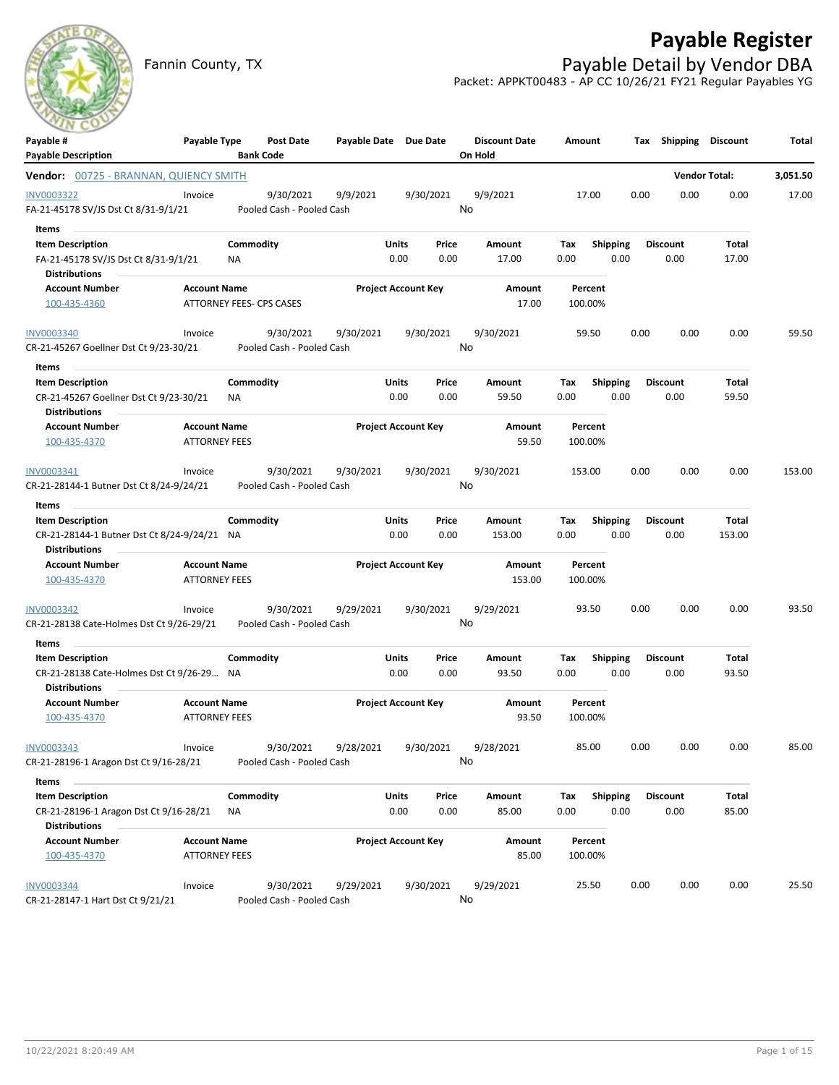## **Payable Register**



## Fannin County, TX **Payable Detail by Vendor DBA** Packet: APPKT00483 - AP CC 10/26/21 FY21 Regular Payables YG

| ---<br>Payable #<br><b>Payable Description</b>                                                             | Payable Type                                |                        | <b>Post Date</b><br><b>Bank Code</b>   | Payable Date Due Date |                            |               | <b>Discount Date</b><br>On Hold | Amount             |                         |      | Tax Shipping Discount   |                      | Total    |
|------------------------------------------------------------------------------------------------------------|---------------------------------------------|------------------------|----------------------------------------|-----------------------|----------------------------|---------------|---------------------------------|--------------------|-------------------------|------|-------------------------|----------------------|----------|
| Vendor: 00725 - BRANNAN, QUIENCY SMITH                                                                     |                                             |                        |                                        |                       |                            |               |                                 |                    |                         |      |                         | <b>Vendor Total:</b> | 3,051.50 |
| <b>INV0003322</b><br>FA-21-45178 SV/JS Dst Ct 8/31-9/1/21                                                  | Invoice                                     |                        | 9/30/2021<br>Pooled Cash - Pooled Cash | 9/9/2021              |                            | 9/30/2021     | 9/9/2021<br>No                  | 17.00              |                         | 0.00 | 0.00                    | 0.00                 | 17.00    |
| Items<br><b>Item Description</b><br>FA-21-45178 SV/JS Dst Ct 8/31-9/1/21                                   |                                             | Commodity<br><b>NA</b> |                                        |                       | Units<br>0.00              | Price<br>0.00 | Amount<br>17.00                 | Tax<br>0.00        | <b>Shipping</b><br>0.00 |      | <b>Discount</b><br>0.00 | Total<br>17.00       |          |
| <b>Distributions</b><br><b>Account Number</b><br>100-435-4360                                              | <b>Account Name</b>                         |                        | ATTORNEY FEES- CPS CASES               |                       | <b>Project Account Key</b> |               | Amount<br>17.00                 | Percent<br>100.00% |                         |      |                         |                      |          |
| <b>INV0003340</b><br>CR-21-45267 Goellner Dst Ct 9/23-30/21                                                | Invoice                                     |                        | 9/30/2021<br>Pooled Cash - Pooled Cash | 9/30/2021             |                            | 9/30/2021     | 9/30/2021<br>No                 | 59.50              |                         | 0.00 | 0.00                    | 0.00                 | 59.50    |
| Items<br><b>Item Description</b><br>CR-21-45267 Goellner Dst Ct 9/23-30/21                                 |                                             | Commodity<br>ΝA        |                                        |                       | Units<br>0.00              | Price<br>0.00 | Amount<br>59.50                 | Tax<br>0.00        | Shipping<br>0.00        |      | <b>Discount</b><br>0.00 | Total<br>59.50       |          |
| <b>Distributions</b><br><b>Account Number</b><br>100-435-4370                                              | <b>Account Name</b><br><b>ATTORNEY FEES</b> |                        |                                        |                       | <b>Project Account Key</b> |               | Amount<br>59.50                 | Percent<br>100.00% |                         |      |                         |                      |          |
| INV0003341<br>CR-21-28144-1 Butner Dst Ct 8/24-9/24/21                                                     | Invoice                                     |                        | 9/30/2021<br>Pooled Cash - Pooled Cash | 9/30/2021             |                            | 9/30/2021     | 9/30/2021<br>No                 | 153.00             |                         | 0.00 | 0.00                    | 0.00                 | 153.00   |
| Items<br>$\sim$<br><b>Item Description</b><br>CR-21-28144-1 Butner Dst Ct 8/24-9/24/21 NA<br>Distributions |                                             | Commodity              |                                        |                       | Units<br>0.00              | Price<br>0.00 | Amount<br>153.00                | Тах<br>0.00        | Shipping<br>0.00        |      | <b>Discount</b><br>0.00 | Total<br>153.00      |          |
| <b>Account Number</b><br>100-435-4370                                                                      | <b>Account Name</b><br><b>ATTORNEY FEES</b> |                        |                                        |                       | <b>Project Account Key</b> |               | Amount<br>153.00                | Percent<br>100.00% |                         |      |                         |                      |          |
| INV0003342<br>CR-21-28138 Cate-Holmes Dst Ct 9/26-29/21                                                    | Invoice                                     |                        | 9/30/2021<br>Pooled Cash - Pooled Cash | 9/29/2021             |                            | 9/30/2021     | 9/29/2021<br>No                 | 93.50              |                         | 0.00 | 0.00                    | 0.00                 | 93.50    |
| Items<br><b>Item Description</b><br>CR-21-28138 Cate-Holmes Dst Ct 9/26-29 NA<br><b>Distributions</b>      |                                             | Commodity              |                                        |                       | Units<br>0.00              | Price<br>0.00 | Amount<br>93.50                 | Tax<br>0.00        | <b>Shipping</b><br>0.00 |      | <b>Discount</b><br>0.00 | Total<br>93.50       |          |
| <b>Account Number</b><br>100-435-4370                                                                      | <b>Account Name</b><br><b>ATTORNEY FEES</b> |                        |                                        |                       | <b>Project Account Key</b> |               | Amount<br>93.50                 | Percent<br>100.00% |                         |      |                         |                      |          |
| INV0003343<br>CR-21-28196-1 Aragon Dst Ct 9/16-28/21                                                       | Invoice                                     |                        | 9/30/2021<br>Pooled Cash - Pooled Cash | 9/28/2021             |                            | 9/30/2021     | 9/28/2021<br>No                 | 85.00              |                         | 0.00 | 0.00                    | 0.00                 | 85.00    |
| Items<br><b>Item Description</b>                                                                           |                                             |                        |                                        |                       |                            |               |                                 |                    |                         |      |                         |                      |          |
| CR-21-28196-1 Aragon Dst Ct 9/16-28/21<br><b>Distributions</b>                                             |                                             | Commodity<br>ΝA        |                                        |                       | Units<br>0.00              | Price<br>0.00 | Amount<br>85.00                 | Tax<br>0.00        | <b>Shipping</b><br>0.00 |      | <b>Discount</b><br>0.00 | Total<br>85.00       |          |
| <b>Account Number</b><br>100-435-4370                                                                      | <b>Account Name</b><br><b>ATTORNEY FEES</b> |                        |                                        |                       | <b>Project Account Key</b> |               | Amount<br>85.00                 | Percent<br>100.00% |                         |      |                         |                      |          |
| <b>INV0003344</b><br>CR-21-28147-1 Hart Dst Ct 9/21/21                                                     | Invoice                                     |                        | 9/30/2021<br>Pooled Cash - Pooled Cash | 9/29/2021             |                            | 9/30/2021     | 9/29/2021<br>No                 | 25.50              |                         | 0.00 | 0.00                    | 0.00                 | 25.50    |

CR-21-28147-1 Hart Dst Ct 9/21/21 Pooled Cash - Pooled Cash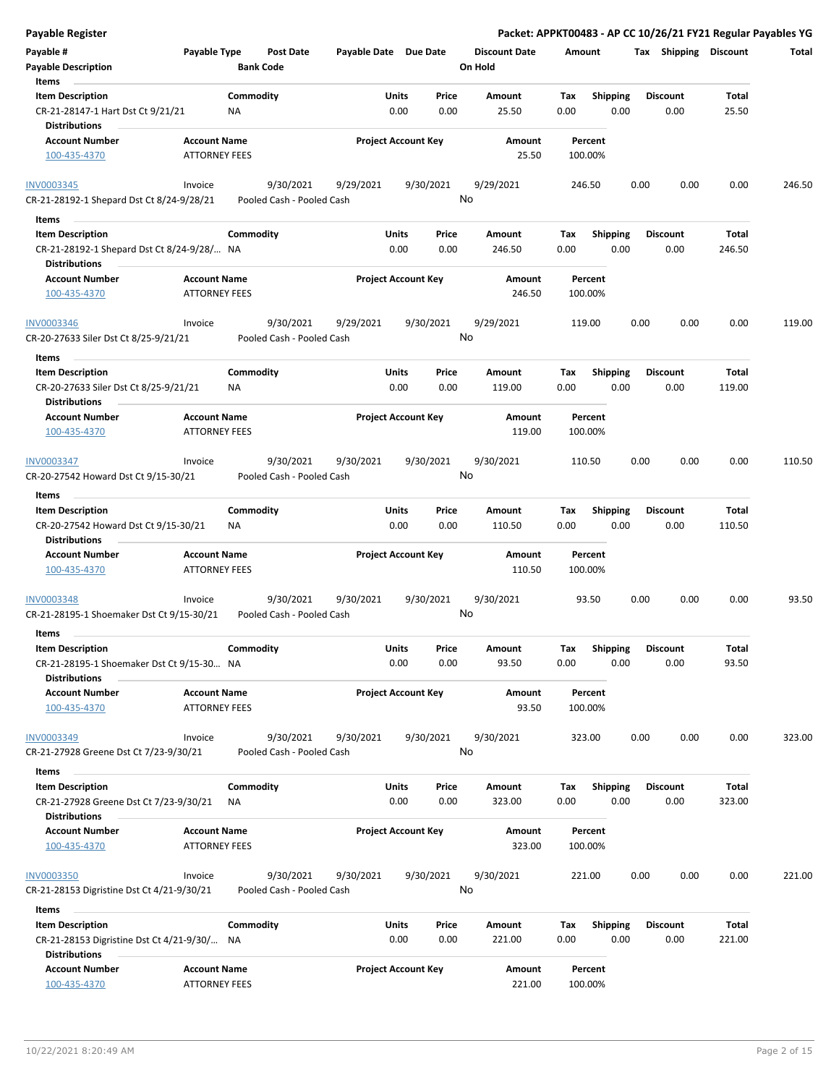| <b>Payable Register</b>                                             |                      |           |                                        |                       |                            |           |                      |        |                 |      |                       |        | Packet: APPKT00483 - AP CC 10/26/21 FY21 Regular Payables YG |
|---------------------------------------------------------------------|----------------------|-----------|----------------------------------------|-----------------------|----------------------------|-----------|----------------------|--------|-----------------|------|-----------------------|--------|--------------------------------------------------------------|
| Payable #                                                           | Payable Type         |           | Post Date                              | Payable Date Due Date |                            |           | <b>Discount Date</b> | Amount |                 |      | Tax Shipping Discount |        | Total                                                        |
| <b>Payable Description</b>                                          |                      |           | <b>Bank Code</b>                       |                       |                            |           | On Hold              |        |                 |      |                       |        |                                                              |
| Items                                                               |                      |           |                                        |                       |                            |           |                      |        |                 |      |                       |        |                                                              |
| <b>Item Description</b>                                             |                      | Commodity |                                        |                       | Units                      | Price     | Amount               | Tax    | <b>Shipping</b> |      | <b>Discount</b>       | Total  |                                                              |
| CR-21-28147-1 Hart Dst Ct 9/21/21                                   |                      | NA        |                                        |                       | 0.00                       | 0.00      | 25.50                | 0.00   | 0.00            |      | 0.00                  | 25.50  |                                                              |
| <b>Distributions</b>                                                |                      |           |                                        |                       |                            |           |                      |        |                 |      |                       |        |                                                              |
| <b>Account Number</b>                                               | <b>Account Name</b>  |           |                                        |                       | <b>Project Account Key</b> |           | Amount               |        | Percent         |      |                       |        |                                                              |
| 100-435-4370                                                        | <b>ATTORNEY FEES</b> |           |                                        |                       |                            |           | 25.50                |        | 100.00%         |      |                       |        |                                                              |
| <b>INV0003345</b><br>CR-21-28192-1 Shepard Dst Ct 8/24-9/28/21      | Invoice              |           | 9/30/2021<br>Pooled Cash - Pooled Cash | 9/29/2021             |                            | 9/30/2021 | 9/29/2021<br>No      |        | 246.50          | 0.00 | 0.00                  | 0.00   | 246.50                                                       |
| Items                                                               |                      |           |                                        |                       |                            |           |                      |        |                 |      |                       |        |                                                              |
| <b>Item Description</b>                                             |                      | Commodity |                                        |                       | Units                      | Price     | Amount               | Tax    | Shipping        |      | <b>Discount</b>       | Total  |                                                              |
| CR-21-28192-1 Shepard Dst Ct 8/24-9/28/ NA<br><b>Distributions</b>  |                      |           |                                        |                       | 0.00                       | 0.00      | 246.50               | 0.00   | 0.00            |      | 0.00                  | 246.50 |                                                              |
| <b>Account Number</b>                                               | <b>Account Name</b>  |           |                                        |                       | <b>Project Account Key</b> |           | Amount               |        | Percent         |      |                       |        |                                                              |
| 100-435-4370                                                        | <b>ATTORNEY FEES</b> |           |                                        |                       |                            |           | 246.50               |        | 100.00%         |      |                       |        |                                                              |
| <b>INV0003346</b><br>CR-20-27633 Siler Dst Ct 8/25-9/21/21          | Invoice              |           | 9/30/2021<br>Pooled Cash - Pooled Cash | 9/29/2021             |                            | 9/30/2021 | 9/29/2021<br>No      |        | 119.00          | 0.00 | 0.00                  | 0.00   | 119.00                                                       |
| Items                                                               |                      |           |                                        |                       |                            |           |                      |        |                 |      |                       |        |                                                              |
| <b>Item Description</b>                                             |                      | Commodity |                                        |                       | Units                      | Price     | Amount               | Tax    | <b>Shipping</b> |      | <b>Discount</b>       | Total  |                                                              |
| CR-20-27633 Siler Dst Ct 8/25-9/21/21<br><b>Distributions</b>       |                      | ΝA        |                                        |                       | 0.00                       | 0.00      | 119.00               | 0.00   | 0.00            |      | 0.00                  | 119.00 |                                                              |
| <b>Account Number</b>                                               | <b>Account Name</b>  |           |                                        |                       | <b>Project Account Key</b> |           | Amount               |        | Percent         |      |                       |        |                                                              |
| 100-435-4370                                                        | <b>ATTORNEY FEES</b> |           |                                        |                       |                            |           | 119.00               |        | 100.00%         |      |                       |        |                                                              |
| INV0003347                                                          | Invoice              |           | 9/30/2021                              | 9/30/2021             |                            | 9/30/2021 | 9/30/2021            |        | 110.50          | 0.00 | 0.00                  | 0.00   | 110.50                                                       |
| CR-20-27542 Howard Dst Ct 9/15-30/21                                |                      |           | Pooled Cash - Pooled Cash              |                       |                            |           | No                   |        |                 |      |                       |        |                                                              |
| Items                                                               |                      |           |                                        |                       |                            |           |                      |        |                 |      |                       |        |                                                              |
| <b>Item Description</b>                                             |                      | Commodity |                                        |                       | Units                      | Price     | Amount               | Tax    | <b>Shipping</b> |      | <b>Discount</b>       | Total  |                                                              |
| CR-20-27542 Howard Dst Ct 9/15-30/21<br><b>Distributions</b>        |                      | NA        |                                        |                       | 0.00                       | 0.00      | 110.50               | 0.00   | 0.00            |      | 0.00                  | 110.50 |                                                              |
| <b>Account Number</b>                                               | <b>Account Name</b>  |           |                                        |                       | <b>Project Account Key</b> |           | Amount               |        | Percent         |      |                       |        |                                                              |
| 100-435-4370                                                        | <b>ATTORNEY FEES</b> |           |                                        |                       |                            |           | 110.50               |        | 100.00%         |      |                       |        |                                                              |
| INV0003348                                                          | Invoice              |           | 9/30/2021                              | 9/30/2021             |                            | 9/30/2021 | 9/30/2021            |        | 93.50           | 0.00 | 0.00                  | 0.00   | 93.50                                                        |
| CR-21-28195-1 Shoemaker Dst Ct 9/15-30/21                           |                      |           | Pooled Cash - Pooled Cash              |                       |                            |           | No                   |        |                 |      |                       |        |                                                              |
| Items                                                               |                      |           |                                        |                       |                            |           |                      |        |                 |      |                       |        |                                                              |
| <b>Item Description</b>                                             |                      | Commodity |                                        |                       | Units                      | Price     | Amount               | Tax    | Shipping        |      | <b>Discount</b>       | Total  |                                                              |
| CR-21-28195-1 Shoemaker Dst Ct 9/15-30 NA<br><b>Distributions</b>   |                      |           |                                        |                       | 0.00                       | 0.00      | 93.50                | 0.00   | 0.00            |      | 0.00                  | 93.50  |                                                              |
| <b>Account Number</b>                                               | <b>Account Name</b>  |           |                                        |                       | <b>Project Account Key</b> |           | Amount               |        | Percent         |      |                       |        |                                                              |
| 100-435-4370                                                        | <b>ATTORNEY FEES</b> |           |                                        |                       |                            |           | 93.50                |        | 100.00%         |      |                       |        |                                                              |
| <b>INV0003349</b>                                                   | Invoice              |           | 9/30/2021                              | 9/30/2021             |                            | 9/30/2021 | 9/30/2021            |        | 323.00          | 0.00 | 0.00                  | 0.00   | 323.00                                                       |
| CR-21-27928 Greene Dst Ct 7/23-9/30/21                              |                      |           | Pooled Cash - Pooled Cash              |                       |                            |           | No                   |        |                 |      |                       |        |                                                              |
|                                                                     |                      |           |                                        |                       |                            |           |                      |        |                 |      |                       |        |                                                              |
| Items<br><b>Item Description</b>                                    |                      | Commodity |                                        |                       | Units                      | Price     | Amount               | Tax    | <b>Shipping</b> |      | <b>Discount</b>       | Total  |                                                              |
| CR-21-27928 Greene Dst Ct 7/23-9/30/21                              |                      | ΝA        |                                        |                       | 0.00                       | 0.00      | 323.00               | 0.00   | 0.00            |      | 0.00                  | 323.00 |                                                              |
| <b>Distributions</b>                                                |                      |           |                                        |                       |                            |           |                      |        |                 |      |                       |        |                                                              |
| Account Number                                                      | <b>Account Name</b>  |           |                                        |                       | <b>Project Account Key</b> |           | Amount<br>323.00     |        | Percent         |      |                       |        |                                                              |
| 100-435-4370                                                        | <b>ATTORNEY FEES</b> |           |                                        |                       |                            |           |                      |        | 100.00%         |      |                       |        |                                                              |
| <b>INV0003350</b><br>CR-21-28153 Digristine Dst Ct 4/21-9/30/21     | Invoice              |           | 9/30/2021<br>Pooled Cash - Pooled Cash | 9/30/2021             |                            | 9/30/2021 | 9/30/2021<br>No      |        | 221.00          | 0.00 | 0.00                  | 0.00   | 221.00                                                       |
| Items                                                               |                      |           |                                        |                       |                            |           |                      |        |                 |      |                       |        |                                                              |
| <b>Item Description</b>                                             |                      | Commodity |                                        |                       | Units                      | Price     | Amount               | Tax    | <b>Shipping</b> |      | <b>Discount</b>       | Total  |                                                              |
| CR-21-28153 Digristine Dst Ct 4/21-9/30/ NA<br><b>Distributions</b> |                      |           |                                        |                       | 0.00                       | 0.00      | 221.00               | 0.00   | 0.00            |      | 0.00                  | 221.00 |                                                              |
| <b>Account Number</b>                                               | <b>Account Name</b>  |           |                                        |                       | <b>Project Account Key</b> |           | Amount               |        | Percent         |      |                       |        |                                                              |
| 100-435-4370                                                        | <b>ATTORNEY FEES</b> |           |                                        |                       |                            |           | 221.00               |        | 100.00%         |      |                       |        |                                                              |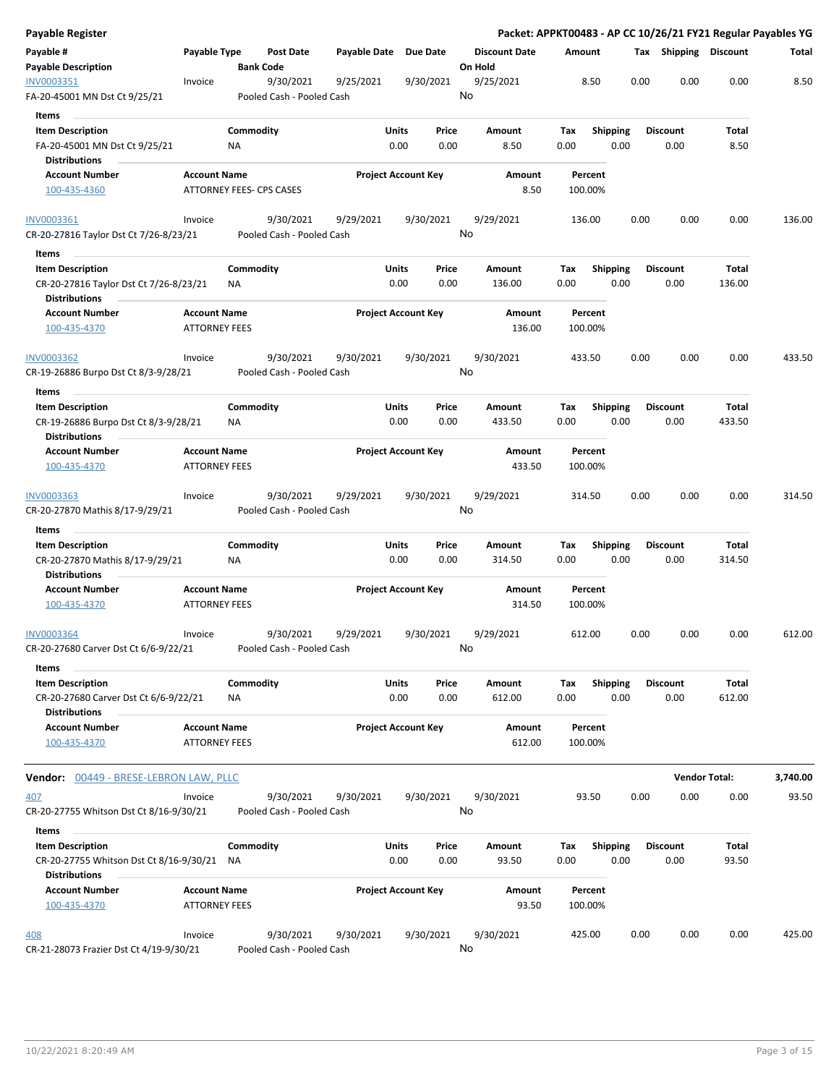| Payable Register                                                      |                                             |                 |                                        |                            |               |               |                                 |             |                    |      |                         | Packet: APPKT00483 - AP CC 10/26/21 FY21 Regular Payables YG |          |
|-----------------------------------------------------------------------|---------------------------------------------|-----------------|----------------------------------------|----------------------------|---------------|---------------|---------------------------------|-------------|--------------------|------|-------------------------|--------------------------------------------------------------|----------|
| Payable #<br><b>Payable Description</b>                               | Payable Type                                |                 | <b>Post Date</b><br><b>Bank Code</b>   | Payable Date Due Date      |               |               | <b>Discount Date</b><br>On Hold | Amount      |                    |      | Tax Shipping Discount   |                                                              | Total    |
| INV0003351<br>FA-20-45001 MN Dst Ct 9/25/21                           | Invoice                                     |                 | 9/30/2021<br>Pooled Cash - Pooled Cash | 9/25/2021                  |               | 9/30/2021     | 9/25/2021<br>No                 |             | 8.50               | 0.00 | 0.00                    | 0.00                                                         | 8.50     |
| Items                                                                 |                                             |                 |                                        |                            |               |               |                                 |             |                    |      |                         |                                                              |          |
| <b>Item Description</b>                                               |                                             | Commodity       |                                        |                            | Units         | Price         | Amount                          | Tax         | <b>Shipping</b>    |      | <b>Discount</b>         | Total                                                        |          |
| FA-20-45001 MN Dst Ct 9/25/21                                         |                                             | ΝA              |                                        |                            | 0.00          | 0.00          | 8.50                            | 0.00        |                    | 0.00 | 0.00                    | 8.50                                                         |          |
| <b>Distributions</b>                                                  |                                             |                 |                                        |                            |               |               |                                 |             |                    |      |                         |                                                              |          |
| <b>Account Number</b>                                                 | <b>Account Name</b>                         |                 |                                        | <b>Project Account Key</b> |               |               | Amount                          |             | Percent            |      |                         |                                                              |          |
| 100-435-4360                                                          |                                             |                 | ATTORNEY FEES- CPS CASES               |                            |               |               | 8.50                            |             | 100.00%            |      |                         |                                                              |          |
| INV0003361<br>CR-20-27816 Taylor Dst Ct 7/26-8/23/21                  | Invoice                                     |                 | 9/30/2021<br>Pooled Cash - Pooled Cash | 9/29/2021                  |               | 9/30/2021     | 9/29/2021<br>No                 |             | 136.00             | 0.00 | 0.00                    | 0.00                                                         | 136.00   |
|                                                                       |                                             |                 |                                        |                            |               |               |                                 |             |                    |      |                         |                                                              |          |
| Items                                                                 |                                             |                 |                                        |                            |               |               |                                 |             |                    |      |                         |                                                              |          |
| <b>Item Description</b>                                               |                                             | Commodity       |                                        |                            | Units         | Price         | Amount                          | Tax         | <b>Shipping</b>    |      | <b>Discount</b>         | Total                                                        |          |
| CR-20-27816 Taylor Dst Ct 7/26-8/23/21<br><b>Distributions</b>        |                                             | ΝA              |                                        |                            | 0.00          | 0.00          | 136.00                          | 0.00        |                    | 0.00 | 0.00                    | 136.00                                                       |          |
| <b>Account Number</b><br>100-435-4370                                 | <b>Account Name</b><br><b>ATTORNEY FEES</b> |                 |                                        | <b>Project Account Key</b> |               |               | Amount<br>136.00                |             | Percent<br>100.00% |      |                         |                                                              |          |
| INV0003362<br>CR-19-26886 Burpo Dst Ct 8/3-9/28/21                    | Invoice                                     |                 | 9/30/2021<br>Pooled Cash - Pooled Cash | 9/30/2021                  |               | 9/30/2021     | 9/30/2021<br>No                 |             | 433.50             | 0.00 | 0.00                    | 0.00                                                         | 433.50   |
| Items                                                                 |                                             |                 |                                        |                            |               |               |                                 |             |                    |      |                         |                                                              |          |
| <b>Item Description</b>                                               |                                             | Commodity       |                                        |                            | Units         | Price         | Amount                          | Tax         | <b>Shipping</b>    |      | <b>Discount</b>         | Total                                                        |          |
| CR-19-26886 Burpo Dst Ct 8/3-9/28/21<br><b>Distributions</b>          |                                             | ΝA              |                                        |                            | 0.00          | 0.00          | 433.50                          | 0.00        |                    | 0.00 | 0.00                    | 433.50                                                       |          |
| <b>Account Number</b>                                                 | <b>Account Name</b>                         |                 |                                        | <b>Project Account Key</b> |               |               | Amount                          |             | Percent            |      |                         |                                                              |          |
| 100-435-4370                                                          | <b>ATTORNEY FEES</b>                        |                 |                                        |                            |               |               | 433.50                          |             | 100.00%            |      |                         |                                                              |          |
| <b>INV0003363</b><br>CR-20-27870 Mathis 8/17-9/29/21                  | Invoice                                     |                 | 9/30/2021<br>Pooled Cash - Pooled Cash | 9/29/2021                  |               | 9/30/2021     | 9/29/2021<br>No                 |             | 314.50             | 0.00 | 0.00                    | 0.00                                                         | 314.50   |
| Items                                                                 |                                             |                 |                                        |                            |               |               |                                 |             |                    |      |                         |                                                              |          |
| <b>Item Description</b>                                               |                                             | Commodity       |                                        |                            | Units         | Price         | Amount                          | Тах         | <b>Shipping</b>    |      | <b>Discount</b>         | Total                                                        |          |
| CR-20-27870 Mathis 8/17-9/29/21<br><b>Distributions</b>               |                                             | ΝA              |                                        |                            | 0.00          | 0.00          | 314.50                          | 0.00        |                    | 0.00 | 0.00                    | 314.50                                                       |          |
| <b>Account Number</b>                                                 | <b>Account Name</b>                         |                 |                                        | <b>Project Account Key</b> |               |               | Amount                          |             | Percent            |      |                         |                                                              |          |
| 100-435-4370                                                          | <b>ATTORNEY FEES</b>                        |                 |                                        |                            |               |               | 314.50                          |             | 100.00%            |      |                         |                                                              |          |
| <b>INV0003364</b>                                                     | Invoice                                     |                 | 9/30/2021                              | 9/29/2021                  |               | 9/30/2021     | 9/29/2021<br>No                 |             | 612.00             | 0.00 | 0.00                    | 0.00                                                         | 612.00   |
| CR-20-27680 Carver Dst Ct 6/6-9/22/21                                 |                                             |                 | Pooled Cash - Pooled Cash              |                            |               |               |                                 |             |                    |      |                         |                                                              |          |
| Items                                                                 |                                             |                 |                                        |                            |               |               |                                 |             |                    |      |                         |                                                              |          |
| <b>Item Description</b><br>CR-20-27680 Carver Dst Ct 6/6-9/22/21      |                                             | Commodity<br>ΝA |                                        |                            | Units<br>0.00 | Price<br>0.00 | Amount<br>612.00                | Tax<br>0.00 | <b>Shipping</b>    | 0.00 | <b>Discount</b><br>0.00 | Total<br>612.00                                              |          |
| <b>Distributions</b>                                                  |                                             |                 |                                        |                            |               |               |                                 |             |                    |      |                         |                                                              |          |
| <b>Account Number</b><br>100-435-4370                                 | <b>Account Name</b><br><b>ATTORNEY FEES</b> |                 |                                        | <b>Project Account Key</b> |               |               | Amount<br>612.00                |             | Percent<br>100.00% |      |                         |                                                              |          |
| <b>Vendor:</b> 00449 - BRESE-LEBRON LAW, PLLC                         |                                             |                 |                                        |                            |               |               |                                 |             |                    |      |                         | <b>Vendor Total:</b>                                         | 3,740.00 |
| 407                                                                   | Invoice                                     |                 | 9/30/2021                              | 9/30/2021                  |               | 9/30/2021     | 9/30/2021                       |             | 93.50              | 0.00 | 0.00                    | 0.00                                                         | 93.50    |
| CR-20-27755 Whitson Dst Ct 8/16-9/30/21                               |                                             |                 | Pooled Cash - Pooled Cash              |                            |               |               | No                              |             |                    |      |                         |                                                              |          |
| Items                                                                 |                                             |                 |                                        |                            |               |               |                                 |             |                    |      |                         |                                                              |          |
| <b>Item Description</b><br>CR-20-27755 Whitson Dst Ct 8/16-9/30/21 NA |                                             | Commodity       |                                        |                            | Units<br>0.00 | Price<br>0.00 | Amount<br>93.50                 | Tax<br>0.00 | <b>Shipping</b>    | 0.00 | <b>Discount</b><br>0.00 | Total<br>93.50                                               |          |
| <b>Distributions</b>                                                  |                                             |                 |                                        |                            |               |               |                                 |             |                    |      |                         |                                                              |          |
| <b>Account Number</b><br>100-435-4370                                 | <b>Account Name</b><br><b>ATTORNEY FEES</b> |                 |                                        | <b>Project Account Key</b> |               |               | Amount<br>93.50                 |             | Percent<br>100.00% |      |                         |                                                              |          |
| 408                                                                   | Invoice                                     |                 | 9/30/2021                              | 9/30/2021                  |               | 9/30/2021     | 9/30/2021                       |             | 425.00             | 0.00 | 0.00                    | 0.00                                                         | 425.00   |
| CR-21-28073 Frazier Dst Ct 4/19-9/30/21                               |                                             |                 | Pooled Cash - Pooled Cash              |                            |               |               | No                              |             |                    |      |                         |                                                              |          |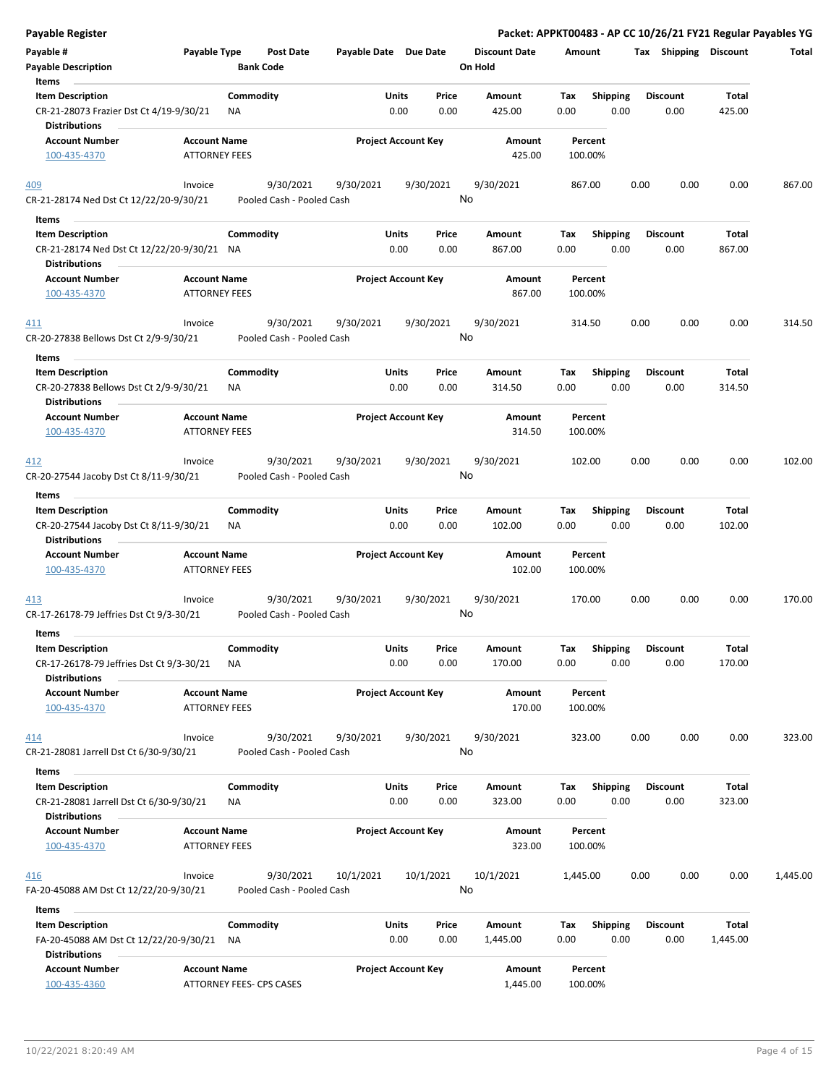| Payable Register                                                                          |                      |                  |                                        |                       |               |                            |                      |             |                         |      |                         |                 | Packet: APPKT00483 - AP CC 10/26/21 FY21 Regular Payables YG |
|-------------------------------------------------------------------------------------------|----------------------|------------------|----------------------------------------|-----------------------|---------------|----------------------------|----------------------|-------------|-------------------------|------|-------------------------|-----------------|--------------------------------------------------------------|
| Payable #                                                                                 | Payable Type         |                  | Post Date                              | Payable Date Due Date |               |                            | <b>Discount Date</b> | Amount      |                         |      | Tax Shipping Discount   |                 | Total                                                        |
| <b>Payable Description</b><br>Items                                                       |                      | <b>Bank Code</b> |                                        |                       |               |                            | On Hold              |             |                         |      |                         |                 |                                                              |
| <b>Item Description</b>                                                                   |                      | Commodity        |                                        |                       | Units         | Price                      | Amount               | Tax         | <b>Shipping</b>         |      | <b>Discount</b>         | Total           |                                                              |
| CR-21-28073 Frazier Dst Ct 4/19-9/30/21<br><b>Distributions</b>                           |                      | ΝA               |                                        |                       | 0.00          | 0.00                       | 425.00               | 0.00        | 0.00                    |      | 0.00                    | 425.00          |                                                              |
| <b>Account Number</b>                                                                     | <b>Account Name</b>  |                  |                                        |                       |               | <b>Project Account Key</b> | Amount               |             | Percent                 |      |                         |                 |                                                              |
| 100-435-4370                                                                              | <b>ATTORNEY FEES</b> |                  |                                        |                       |               |                            | 425.00               |             | 100.00%                 |      |                         |                 |                                                              |
| 409                                                                                       | Invoice              |                  | 9/30/2021                              | 9/30/2021             |               | 9/30/2021                  | 9/30/2021            |             | 867.00                  | 0.00 | 0.00                    | 0.00            | 867.00                                                       |
| CR-21-28174 Ned Dst Ct 12/22/20-9/30/21                                                   |                      |                  | Pooled Cash - Pooled Cash              |                       |               |                            | No                   |             |                         |      |                         |                 |                                                              |
| Items                                                                                     |                      |                  |                                        |                       |               |                            |                      |             |                         |      |                         |                 |                                                              |
| <b>Item Description</b>                                                                   |                      | Commodity        |                                        |                       | Units         | Price                      | Amount               | Tax         | <b>Shipping</b>         |      | <b>Discount</b>         | Total           |                                                              |
| CR-21-28174 Ned Dst Ct 12/22/20-9/30/21 NA<br>Distributions                               |                      |                  |                                        |                       | 0.00          | 0.00                       | 867.00               | 0.00        | 0.00                    |      | 0.00                    | 867.00          |                                                              |
| <b>Account Number</b>                                                                     | <b>Account Name</b>  |                  |                                        |                       |               | <b>Project Account Key</b> | Amount               |             | Percent                 |      |                         |                 |                                                              |
| 100-435-4370                                                                              | <b>ATTORNEY FEES</b> |                  |                                        |                       |               |                            | 867.00               |             | 100.00%                 |      |                         |                 |                                                              |
| 411<br>CR-20-27838 Bellows Dst Ct 2/9-9/30/21                                             | Invoice              |                  | 9/30/2021<br>Pooled Cash - Pooled Cash | 9/30/2021             |               | 9/30/2021                  | 9/30/2021<br>No      |             | 314.50                  | 0.00 | 0.00                    | 0.00            | 314.50                                                       |
| Items                                                                                     |                      |                  |                                        |                       |               |                            |                      |             |                         |      |                         |                 |                                                              |
| <b>Item Description</b><br>CR-20-27838 Bellows Dst Ct 2/9-9/30/21<br><b>Distributions</b> |                      | Commodity<br>ΝA  |                                        |                       | Units<br>0.00 | Price<br>0.00              | Amount<br>314.50     | Tax<br>0.00 | <b>Shipping</b><br>0.00 |      | <b>Discount</b><br>0.00 | Total<br>314.50 |                                                              |
| <b>Account Number</b>                                                                     | <b>Account Name</b>  |                  |                                        |                       |               | <b>Project Account Key</b> | Amount               |             | Percent                 |      |                         |                 |                                                              |
| 100-435-4370                                                                              | <b>ATTORNEY FEES</b> |                  |                                        |                       |               |                            | 314.50               |             | 100.00%                 |      |                         |                 |                                                              |
| 412                                                                                       | Invoice              |                  | 9/30/2021                              | 9/30/2021             |               | 9/30/2021                  | 9/30/2021            |             | 102.00                  | 0.00 | 0.00                    | 0.00            | 102.00                                                       |
| CR-20-27544 Jacoby Dst Ct 8/11-9/30/21                                                    |                      |                  | Pooled Cash - Pooled Cash              |                       |               |                            | No                   |             |                         |      |                         |                 |                                                              |
| Items                                                                                     |                      |                  |                                        |                       |               |                            |                      |             |                         |      |                         |                 |                                                              |
| <b>Item Description</b>                                                                   |                      | Commodity        |                                        |                       | Units         | Price                      | Amount               | Tax         | <b>Shipping</b>         |      | <b>Discount</b>         | Total           |                                                              |
| CR-20-27544 Jacoby Dst Ct 8/11-9/30/21<br><b>Distributions</b>                            |                      | ΝA               |                                        |                       | 0.00          | 0.00                       | 102.00               | 0.00        | 0.00                    |      | 0.00                    | 102.00          |                                                              |
| <b>Account Number</b>                                                                     | <b>Account Name</b>  |                  |                                        |                       |               | <b>Project Account Key</b> | Amount               |             | Percent                 |      |                         |                 |                                                              |
| 100-435-4370                                                                              | <b>ATTORNEY FEES</b> |                  |                                        |                       |               |                            | 102.00               |             | 100.00%                 |      |                         |                 |                                                              |
| 413                                                                                       | Invoice              |                  | 9/30/2021                              | 9/30/2021             |               | 9/30/2021                  | 9/30/2021            |             | 170.00                  | 0.00 | 0.00                    | 0.00            | 170.00                                                       |
| CR-17-26178-79 Jeffries Dst Ct 9/3-30/21                                                  |                      |                  | Pooled Cash - Pooled Cash              |                       |               |                            | No                   |             |                         |      |                         |                 |                                                              |
| Items                                                                                     |                      |                  |                                        |                       |               |                            |                      |             |                         |      |                         |                 |                                                              |
| <b>Item Description</b>                                                                   |                      | Commodity        |                                        |                       | Units         | Price                      | Amount               | Tax         | Shipping                |      | <b>Discount</b>         | <b>Total</b>    |                                                              |
| CR-17-26178-79 Jeffries Dst Ct 9/3-30/21<br><b>Distributions</b>                          |                      | <b>NA</b>        |                                        |                       | 0.00          | 0.00                       | 170.00               | 0.00        | 0.00                    |      | 0.00                    | 170.00          |                                                              |
| <b>Account Number</b>                                                                     | <b>Account Name</b>  |                  |                                        |                       |               | <b>Project Account Key</b> | Amount               |             | Percent                 |      |                         |                 |                                                              |
| 100-435-4370                                                                              | <b>ATTORNEY FEES</b> |                  |                                        |                       |               |                            | 170.00               |             | 100.00%                 |      |                         |                 |                                                              |
| 414                                                                                       | Invoice              |                  | 9/30/2021                              | 9/30/2021             |               | 9/30/2021                  | 9/30/2021            |             | 323.00                  | 0.00 | 0.00                    | 0.00            | 323.00                                                       |
| CR-21-28081 Jarrell Dst Ct 6/30-9/30/21                                                   |                      |                  | Pooled Cash - Pooled Cash              |                       |               |                            | No                   |             |                         |      |                         |                 |                                                              |
|                                                                                           |                      |                  |                                        |                       |               |                            |                      |             |                         |      |                         |                 |                                                              |
| Items                                                                                     |                      | Commodity        |                                        |                       | Units         |                            |                      |             | Shipping                |      |                         | Total           |                                                              |
| <b>Item Description</b><br>CR-21-28081 Jarrell Dst Ct 6/30-9/30/21                        |                      | ΝA               |                                        |                       | 0.00          | Price<br>0.00              | Amount<br>323.00     | Tax<br>0.00 | 0.00                    |      | <b>Discount</b><br>0.00 | 323.00          |                                                              |
| <b>Distributions</b>                                                                      |                      |                  |                                        |                       |               |                            |                      |             |                         |      |                         |                 |                                                              |
| <b>Account Number</b>                                                                     | <b>Account Name</b>  |                  |                                        |                       |               | <b>Project Account Key</b> | Amount               |             | Percent                 |      |                         |                 |                                                              |
| 100-435-4370                                                                              | <b>ATTORNEY FEES</b> |                  |                                        |                       |               |                            | 323.00               |             | 100.00%                 |      |                         |                 |                                                              |
| 416<br>FA-20-45088 AM Dst Ct 12/22/20-9/30/21                                             | Invoice              |                  | 9/30/2021<br>Pooled Cash - Pooled Cash | 10/1/2021             |               | 10/1/2021                  | 10/1/2021<br>No      | 1,445.00    |                         | 0.00 | 0.00                    | 0.00            | 1,445.00                                                     |
| Items                                                                                     |                      |                  |                                        |                       |               |                            |                      |             |                         |      |                         |                 |                                                              |
| <b>Item Description</b>                                                                   |                      | Commodity        |                                        |                       | Units         | Price                      | Amount               | Tax         | Shipping                |      | <b>Discount</b>         | Total           |                                                              |
| FA-20-45088 AM Dst Ct 12/22/20-9/30/21<br><b>Distributions</b>                            |                      | ΝA               |                                        |                       | 0.00          | 0.00                       | 1,445.00             | 0.00        | 0.00                    |      | 0.00                    | 1,445.00        |                                                              |
| <b>Account Number</b>                                                                     | <b>Account Name</b>  |                  |                                        |                       |               | <b>Project Account Key</b> | Amount               |             | Percent                 |      |                         |                 |                                                              |
| 100-435-4360                                                                              |                      |                  | ATTORNEY FEES- CPS CASES               |                       |               |                            | 1,445.00             |             | 100.00%                 |      |                         |                 |                                                              |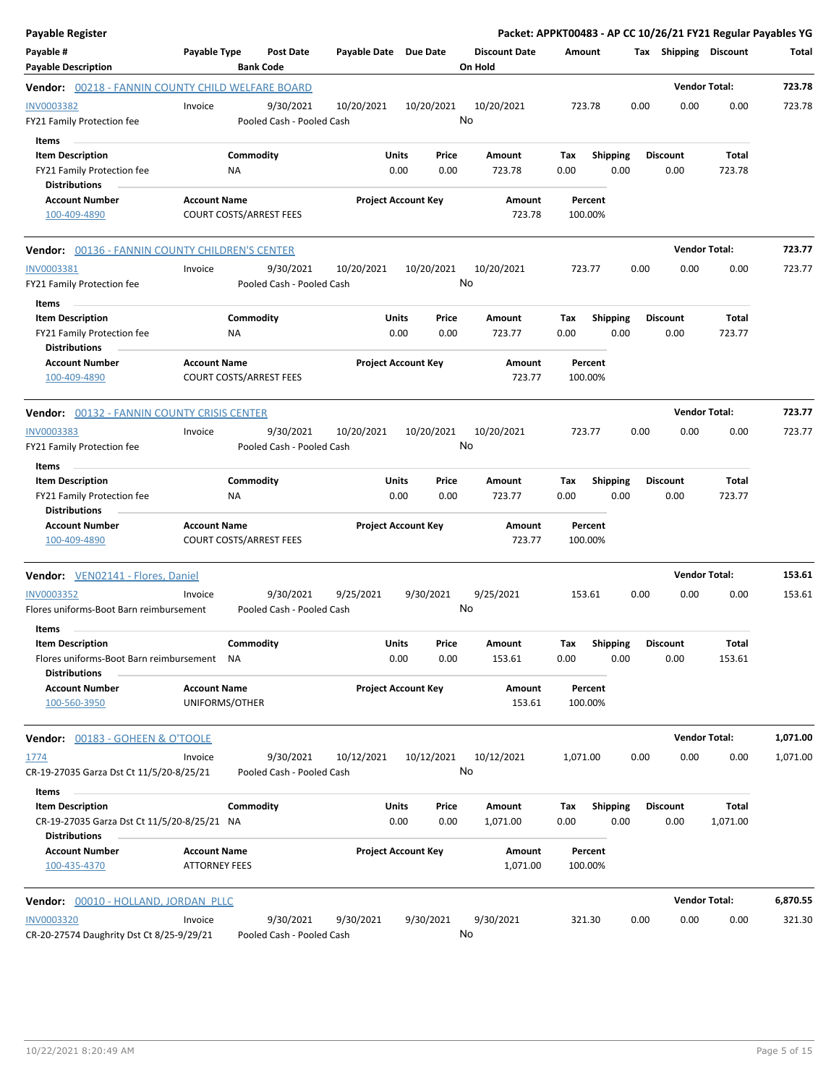| <b>Payable Register</b>                                                                        |                                                       |                  |                                        |                            |                      |                  |                                 |                    |                           |      |                         | Packet: APPKT00483 - AP CC 10/26/21 FY21 Regular Payables YG |          |
|------------------------------------------------------------------------------------------------|-------------------------------------------------------|------------------|----------------------------------------|----------------------------|----------------------|------------------|---------------------------------|--------------------|---------------------------|------|-------------------------|--------------------------------------------------------------|----------|
| Payable #<br><b>Payable Description</b>                                                        | Payable Type                                          | <b>Bank Code</b> | Post Date                              | Payable Date Due Date      |                      |                  | <b>Discount Date</b><br>On Hold | Amount             |                           |      | Tax Shipping Discount   |                                                              | Total    |
| Vendor: 00218 - FANNIN COUNTY CHILD WELFARE BOARD                                              |                                                       |                  |                                        |                            |                      |                  |                                 |                    |                           |      | <b>Vendor Total:</b>    |                                                              | 723.78   |
| INV0003382<br>FY21 Family Protection fee                                                       | Invoice                                               |                  | 9/30/2021<br>Pooled Cash - Pooled Cash | 10/20/2021                 |                      | 10/20/2021       | 10/20/2021<br>No                | 723.78             |                           | 0.00 | 0.00                    | 0.00                                                         | 723.78   |
| <b>Items</b><br><b>Item Description</b><br>FY21 Family Protection fee<br><b>Distributions</b>  |                                                       | Commodity<br>ΝA  |                                        |                            | Units<br>0.00        | Price<br>0.00    | Amount<br>723.78                | Tax<br>0.00        | <b>Shipping</b><br>0.00   |      | <b>Discount</b><br>0.00 | <b>Total</b><br>723.78                                       |          |
| <b>Account Number</b><br>100-409-4890                                                          | <b>Account Name</b><br><b>COURT COSTS/ARREST FEES</b> |                  |                                        | <b>Project Account Key</b> |                      |                  | Amount<br>723.78                | Percent<br>100.00% |                           |      |                         |                                                              |          |
| <b>Vendor:</b> 00136 - FANNIN COUNTY CHILDREN'S CENTER                                         |                                                       |                  |                                        |                            |                      |                  |                                 |                    |                           |      | <b>Vendor Total:</b>    |                                                              | 723.77   |
| INV0003381<br>FY21 Family Protection fee                                                       | Invoice                                               |                  | 9/30/2021<br>Pooled Cash - Pooled Cash | 10/20/2021                 |                      | 10/20/2021       | 10/20/2021<br>No                | 723.77             |                           | 0.00 | 0.00                    | 0.00                                                         | 723.77   |
| Items<br><b>Item Description</b><br>FY21 Family Protection fee<br><b>Distributions</b>         |                                                       | Commodity<br>NA  |                                        |                            | Units<br>0.00        | Price<br>0.00    | Amount<br>723.77                | Tax<br>0.00        | <b>Shipping</b><br>0.00   |      | <b>Discount</b><br>0.00 | <b>Total</b><br>723.77                                       |          |
| <b>Account Number</b><br>100-409-4890                                                          | <b>Account Name</b>                                   |                  | <b>COURT COSTS/ARREST FEES</b>         | <b>Project Account Key</b> |                      |                  | Amount<br>723.77                | Percent<br>100.00% |                           |      |                         |                                                              |          |
| Vendor: 00132 - FANNIN COUNTY CRISIS CENTER                                                    |                                                       |                  |                                        |                            |                      |                  |                                 |                    |                           |      | <b>Vendor Total:</b>    |                                                              | 723.77   |
| <b>INV0003383</b><br>FY21 Family Protection fee<br>Items                                       | Invoice                                               |                  | 9/30/2021<br>Pooled Cash - Pooled Cash | 10/20/2021                 |                      | 10/20/2021<br>No | 10/20/2021                      | 723.77             |                           | 0.00 | 0.00                    | 0.00                                                         | 723.77   |
| <b>Item Description</b><br>FY21 Family Protection fee<br><b>Distributions</b>                  |                                                       | Commodity<br>ΝA  |                                        |                            | Units<br>0.00        | Price<br>0.00    | Amount<br>723.77                | Tax<br>0.00        | <b>Shipping</b><br>0.00   |      | <b>Discount</b><br>0.00 | Total<br>723.77                                              |          |
| <b>Account Number</b><br>100-409-4890                                                          | <b>Account Name</b>                                   |                  | <b>COURT COSTS/ARREST FEES</b>         | <b>Project Account Key</b> |                      |                  | Amount<br>723.77                | Percent<br>100.00% |                           |      |                         |                                                              |          |
| Vendor: VEN02141 - Flores, Daniel                                                              |                                                       |                  |                                        |                            |                      |                  |                                 |                    |                           |      | <b>Vendor Total:</b>    |                                                              | 153.61   |
| INV0003352<br>Flores uniforms-Boot Barn reimbursement<br>Items                                 | Invoice                                               |                  | 9/30/2021<br>Pooled Cash - Pooled Cash | 9/25/2021                  |                      | 9/30/2021        | 9/25/2021<br>No                 | 153.61             |                           | 0.00 | 0.00                    | 0.00                                                         | 153.61   |
| <b>Item Description</b><br>Flores uniforms-Boot Barn reimbursement NA<br><b>Distributions</b>  |                                                       | Commodity        |                                        |                            | <b>Units</b><br>0.00 | Price<br>0.00    | Amount<br>153.61                | Tax<br>0.00        | Shipping Discount<br>0.00 |      | 0.00                    | Total<br>153.61                                              |          |
| <b>Account Number</b><br>100-560-3950                                                          | <b>Account Name</b><br>UNIFORMS/OTHER                 |                  |                                        | <b>Project Account Key</b> |                      |                  | Amount<br>153.61                | Percent<br>100.00% |                           |      |                         |                                                              |          |
| <b>Vendor:</b> 00183 - GOHEEN & O'TOOLE                                                        |                                                       |                  |                                        |                            |                      |                  |                                 |                    |                           |      |                         | <b>Vendor Total:</b>                                         | 1,071.00 |
| <u>1774</u><br>CR-19-27035 Garza Dst Ct 11/5/20-8/25/21<br>Items                               | Invoice                                               |                  | 9/30/2021<br>Pooled Cash - Pooled Cash | 10/12/2021                 |                      | 10/12/2021       | 10/12/2021<br>No                | 1,071.00           |                           | 0.00 | 0.00                    | 0.00                                                         | 1,071.00 |
| <b>Item Description</b><br>CR-19-27035 Garza Dst Ct 11/5/20-8/25/21 NA<br><b>Distributions</b> |                                                       | Commodity        |                                        |                            | Units<br>0.00        | Price<br>0.00    | Amount<br>1,071.00              | Тах<br>0.00        | <b>Shipping</b><br>0.00   |      | <b>Discount</b><br>0.00 | Total<br>1,071.00                                            |          |
| <b>Account Number</b><br>100-435-4370                                                          | <b>Account Name</b><br><b>ATTORNEY FEES</b>           |                  |                                        | <b>Project Account Key</b> |                      |                  | Amount<br>1,071.00              | Percent<br>100.00% |                           |      |                         |                                                              |          |
| Vendor: 00010 - HOLLAND, JORDAN PLLC                                                           |                                                       |                  |                                        |                            |                      |                  |                                 |                    |                           |      | <b>Vendor Total:</b>    |                                                              | 6,870.55 |
| INV0003320<br>CR-20-27574 Daughrity Dst Ct 8/25-9/29/21                                        | Invoice                                               |                  | 9/30/2021<br>Pooled Cash - Pooled Cash | 9/30/2021                  |                      | 9/30/2021<br>No  | 9/30/2021                       | 321.30             |                           | 0.00 | 0.00                    | 0.00                                                         | 321.30   |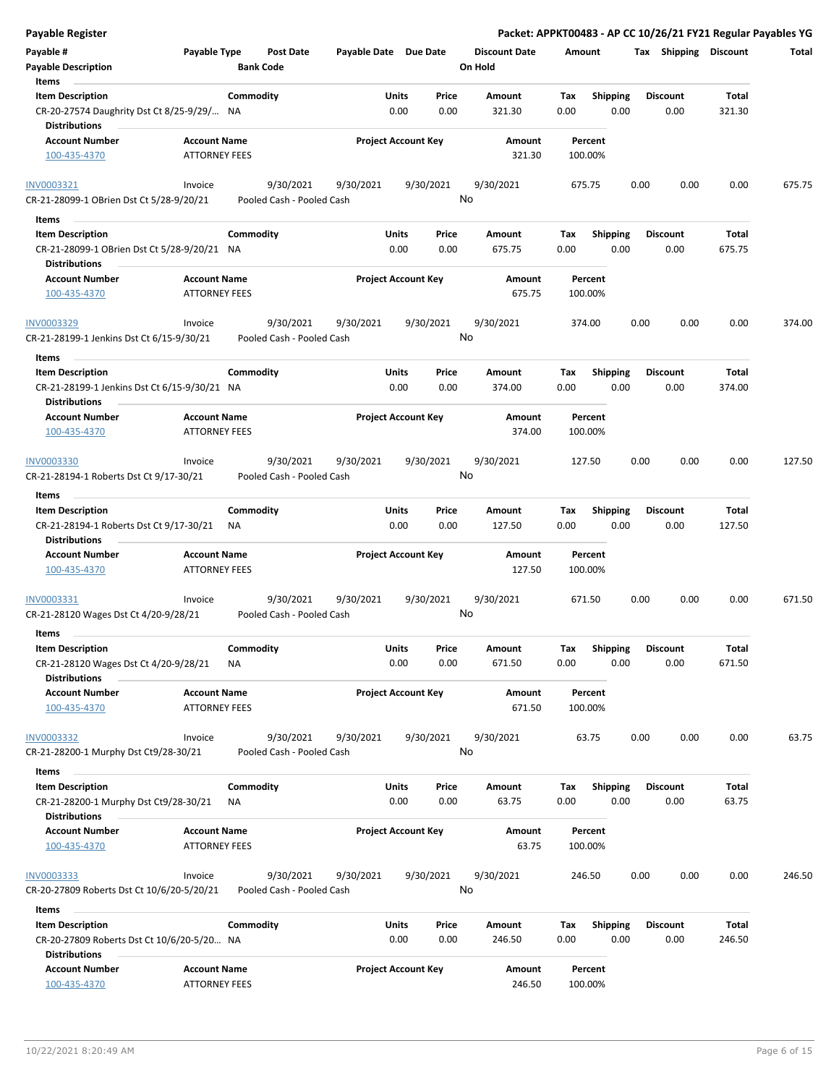| <b>Payable Register</b>                                                                         |                                             |                  |                                        |                       |               |                            |                      |             |                    |      |      |                         |                 | Packet: APPKT00483 - AP CC 10/26/21 FY21 Regular Payables YG |
|-------------------------------------------------------------------------------------------------|---------------------------------------------|------------------|----------------------------------------|-----------------------|---------------|----------------------------|----------------------|-------------|--------------------|------|------|-------------------------|-----------------|--------------------------------------------------------------|
| Payable #                                                                                       | Payable Type                                |                  | Post Date                              | Payable Date Due Date |               |                            | <b>Discount Date</b> | Amount      |                    |      |      | Tax Shipping Discount   |                 | Total                                                        |
| <b>Payable Description</b>                                                                      |                                             | <b>Bank Code</b> |                                        |                       |               |                            | On Hold              |             |                    |      |      |                         |                 |                                                              |
| Items                                                                                           |                                             |                  |                                        |                       |               |                            |                      |             |                    |      |      |                         |                 |                                                              |
| <b>Item Description</b>                                                                         |                                             | Commodity        |                                        |                       | Units         | Price                      | Amount               | Tax         | <b>Shipping</b>    |      |      | <b>Discount</b>         | Total           |                                                              |
| CR-20-27574 Daughrity Dst Ct 8/25-9/29/ NA                                                      |                                             |                  |                                        |                       | 0.00          | 0.00                       | 321.30               | 0.00        |                    | 0.00 |      | 0.00                    | 321.30          |                                                              |
| <b>Distributions</b>                                                                            |                                             |                  |                                        |                       |               |                            |                      |             |                    |      |      |                         |                 |                                                              |
| Account Number                                                                                  | <b>Account Name</b>                         |                  |                                        |                       |               | <b>Project Account Key</b> | Amount               |             | Percent            |      |      |                         |                 |                                                              |
| 100-435-4370                                                                                    | <b>ATTORNEY FEES</b>                        |                  |                                        |                       |               |                            | 321.30               |             | 100.00%            |      |      |                         |                 |                                                              |
| INV0003321<br>CR-21-28099-1 OBrien Dst Ct 5/28-9/20/21                                          | Invoice                                     |                  | 9/30/2021<br>Pooled Cash - Pooled Cash | 9/30/2021             |               | 9/30/2021                  | 9/30/2021<br>No      |             | 675.75             |      | 0.00 | 0.00                    | 0.00            | 675.75                                                       |
| Items                                                                                           |                                             |                  |                                        |                       |               |                            |                      |             |                    |      |      |                         |                 |                                                              |
| <b>Item Description</b>                                                                         |                                             | Commodity        |                                        |                       | Units         | Price                      | Amount               | Tax         | Shipping           |      |      | <b>Discount</b>         | Total           |                                                              |
| CR-21-28099-1 OBrien Dst Ct 5/28-9/20/21 NA                                                     |                                             |                  |                                        |                       | 0.00          | 0.00                       | 675.75               | 0.00        |                    | 0.00 |      | 0.00                    | 675.75          |                                                              |
| <b>Distributions</b>                                                                            |                                             |                  |                                        |                       |               |                            |                      |             |                    |      |      |                         |                 |                                                              |
| <b>Account Number</b>                                                                           | <b>Account Name</b>                         |                  |                                        |                       |               | <b>Project Account Key</b> | Amount               |             | Percent            |      |      |                         |                 |                                                              |
| 100-435-4370                                                                                    | <b>ATTORNEY FEES</b>                        |                  |                                        |                       |               |                            | 675.75               |             | 100.00%            |      |      |                         |                 |                                                              |
| INV0003329<br>CR-21-28199-1 Jenkins Dst Ct 6/15-9/30/21                                         | Invoice                                     |                  | 9/30/2021<br>Pooled Cash - Pooled Cash | 9/30/2021             |               | 9/30/2021                  | 9/30/2021<br>No      |             | 374.00             |      | 0.00 | 0.00                    | 0.00            | 374.00                                                       |
|                                                                                                 |                                             |                  |                                        |                       |               |                            |                      |             |                    |      |      |                         |                 |                                                              |
| Items                                                                                           |                                             |                  |                                        |                       |               |                            |                      |             |                    |      |      |                         |                 |                                                              |
| <b>Item Description</b><br>CR-21-28199-1 Jenkins Dst Ct 6/15-9/30/21 NA<br><b>Distributions</b> |                                             | Commodity        |                                        |                       | Units<br>0.00 | Price<br>0.00              | Amount<br>374.00     | Tax<br>0.00 | <b>Shipping</b>    | 0.00 |      | <b>Discount</b><br>0.00 | Total<br>374.00 |                                                              |
| <b>Account Number</b>                                                                           | <b>Account Name</b>                         |                  |                                        |                       |               | <b>Project Account Key</b> | Amount               |             | Percent            |      |      |                         |                 |                                                              |
| 100-435-4370                                                                                    | <b>ATTORNEY FEES</b>                        |                  |                                        |                       |               |                            | 374.00               |             | 100.00%            |      |      |                         |                 |                                                              |
| INV0003330                                                                                      | Invoice                                     |                  | 9/30/2021                              | 9/30/2021             |               | 9/30/2021                  | 9/30/2021            |             | 127.50             |      | 0.00 | 0.00                    | 0.00            | 127.50                                                       |
| CR-21-28194-1 Roberts Dst Ct 9/17-30/21                                                         |                                             |                  | Pooled Cash - Pooled Cash              |                       |               |                            | No                   |             |                    |      |      |                         |                 |                                                              |
|                                                                                                 |                                             |                  |                                        |                       |               |                            |                      |             |                    |      |      |                         |                 |                                                              |
| Items                                                                                           |                                             |                  |                                        |                       |               |                            |                      |             |                    |      |      |                         |                 |                                                              |
| <b>Item Description</b>                                                                         |                                             | Commodity        |                                        |                       | Units         | Price                      | Amount               | Tax         | <b>Shipping</b>    |      |      | <b>Discount</b>         | Total           |                                                              |
| CR-21-28194-1 Roberts Dst Ct 9/17-30/21<br><b>Distributions</b>                                 |                                             | ΝA               |                                        |                       | 0.00          | 0.00                       | 127.50               | 0.00        |                    | 0.00 |      | 0.00                    | 127.50          |                                                              |
| <b>Account Number</b>                                                                           | <b>Account Name</b>                         |                  |                                        |                       |               | <b>Project Account Key</b> | Amount               |             | Percent            |      |      |                         |                 |                                                              |
| 100-435-4370                                                                                    | <b>ATTORNEY FEES</b>                        |                  |                                        |                       |               |                            | 127.50               |             | 100.00%            |      |      |                         |                 |                                                              |
| INV0003331                                                                                      | Invoice                                     |                  | 9/30/2021                              | 9/30/2021             |               | 9/30/2021                  | 9/30/2021            |             | 671.50             |      | 0.00 | 0.00                    | 0.00            | 671.50                                                       |
| CR-21-28120 Wages Dst Ct 4/20-9/28/21                                                           |                                             |                  | Pooled Cash - Pooled Cash              |                       |               |                            | No                   |             |                    |      |      |                         |                 |                                                              |
|                                                                                                 |                                             |                  |                                        |                       |               |                            |                      |             |                    |      |      |                         |                 |                                                              |
| Items                                                                                           |                                             |                  |                                        |                       |               |                            |                      |             |                    |      |      |                         |                 |                                                              |
| <b>Item Description</b>                                                                         |                                             | Commodity        |                                        |                       | Units         | Price                      | Amount               | Tax         | Shipping           |      |      | <b>Discount</b>         | Total           |                                                              |
| CR-21-28120 Wages Dst Ct 4/20-9/28/21                                                           |                                             | NA               |                                        |                       | 0.00          | 0.00                       | 671.50               | 0.00        |                    | 0.00 |      | 0.00                    | 671.50          |                                                              |
| <b>Distributions</b>                                                                            |                                             |                  |                                        |                       |               |                            |                      |             |                    |      |      |                         |                 |                                                              |
| Account Number<br>100-435-4370                                                                  | <b>Account Name</b><br><b>ATTORNEY FEES</b> |                  |                                        |                       |               | <b>Project Account Key</b> | Amount<br>671.50     |             | Percent<br>100.00% |      |      |                         |                 |                                                              |
| <b>INV0003332</b>                                                                               | Invoice                                     |                  | 9/30/2021                              | 9/30/2021             |               | 9/30/2021                  | 9/30/2021            |             | 63.75              |      | 0.00 | 0.00                    | 0.00            | 63.75                                                        |
| CR-21-28200-1 Murphy Dst Ct9/28-30/21                                                           |                                             |                  | Pooled Cash - Pooled Cash              |                       |               |                            | No                   |             |                    |      |      |                         |                 |                                                              |
|                                                                                                 |                                             |                  |                                        |                       |               |                            |                      |             |                    |      |      |                         |                 |                                                              |
| Items                                                                                           |                                             |                  |                                        |                       |               |                            |                      |             |                    |      |      |                         |                 |                                                              |
| <b>Item Description</b>                                                                         |                                             | Commodity        |                                        |                       | Units         | Price                      | Amount               | Tax         | <b>Shipping</b>    |      |      | <b>Discount</b>         | Total           |                                                              |
| CR-21-28200-1 Murphy Dst Ct9/28-30/21<br><b>Distributions</b>                                   |                                             | ΝA               |                                        |                       | 0.00          | 0.00                       | 63.75                | 0.00        |                    | 0.00 |      | 0.00                    | 63.75           |                                                              |
| <b>Account Number</b>                                                                           | <b>Account Name</b>                         |                  |                                        |                       |               | <b>Project Account Key</b> | Amount               |             | Percent            |      |      |                         |                 |                                                              |
| 100-435-4370                                                                                    | <b>ATTORNEY FEES</b>                        |                  |                                        |                       |               |                            | 63.75                |             | 100.00%            |      |      |                         |                 |                                                              |
| <b>INV0003333</b>                                                                               | Invoice                                     |                  | 9/30/2021                              | 9/30/2021             |               | 9/30/2021                  | 9/30/2021            |             | 246.50             |      | 0.00 | 0.00                    | 0.00            | 246.50                                                       |
| CR-20-27809 Roberts Dst Ct 10/6/20-5/20/21                                                      |                                             |                  | Pooled Cash - Pooled Cash              |                       |               |                            | No                   |             |                    |      |      |                         |                 |                                                              |
|                                                                                                 |                                             |                  |                                        |                       |               |                            |                      |             |                    |      |      |                         |                 |                                                              |
| Items                                                                                           |                                             |                  |                                        |                       |               |                            |                      |             |                    |      |      |                         |                 |                                                              |
| <b>Item Description</b>                                                                         |                                             | Commodity        |                                        |                       | Units         | Price                      | Amount               | Tax         | <b>Shipping</b>    |      |      | <b>Discount</b>         | Total           |                                                              |
| CR-20-27809 Roberts Dst Ct 10/6/20-5/20 NA                                                      |                                             |                  |                                        |                       | 0.00          | 0.00                       | 246.50               | 0.00        |                    | 0.00 |      | 0.00                    | 246.50          |                                                              |
| <b>Distributions</b>                                                                            |                                             |                  |                                        |                       |               |                            |                      |             |                    |      |      |                         |                 |                                                              |
| <b>Account Number</b>                                                                           | <b>Account Name</b>                         |                  |                                        |                       |               | <b>Project Account Key</b> | Amount               |             | Percent            |      |      |                         |                 |                                                              |
| 100-435-4370                                                                                    | <b>ATTORNEY FEES</b>                        |                  |                                        |                       |               |                            | 246.50               |             | 100.00%            |      |      |                         |                 |                                                              |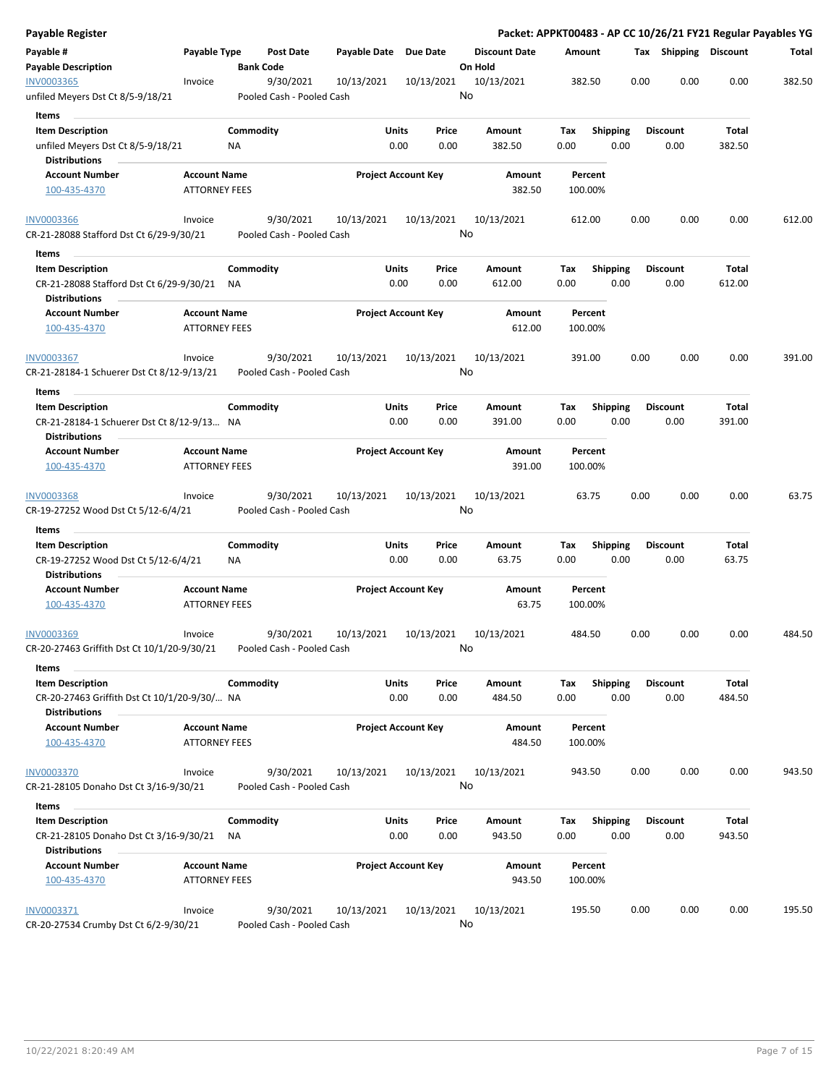| Payable Register                                                                               |                                             |                  |                                        |                       |                            |         |                      |                    |                         |      |                         |                 | Packet: APPKT00483 - AP CC 10/26/21 FY21 Regular Payables YG |
|------------------------------------------------------------------------------------------------|---------------------------------------------|------------------|----------------------------------------|-----------------------|----------------------------|---------|----------------------|--------------------|-------------------------|------|-------------------------|-----------------|--------------------------------------------------------------|
| Payable #<br><b>Payable Description</b>                                                        | Payable Type                                | <b>Bank Code</b> | Post Date                              | Payable Date Due Date |                            | On Hold | <b>Discount Date</b> | Amount             |                         |      | Tax Shipping Discount   |                 | Total                                                        |
| INV0003365<br>unfiled Meyers Dst Ct 8/5-9/18/21                                                | Invoice                                     |                  | 9/30/2021<br>Pooled Cash - Pooled Cash | 10/13/2021            | 10/13/2021                 | No      | 10/13/2021           | 382.50             |                         | 0.00 | 0.00                    | 0.00            | 382.50                                                       |
| Items                                                                                          |                                             |                  |                                        |                       |                            |         |                      |                    |                         |      |                         |                 |                                                              |
| <b>Item Description</b>                                                                        |                                             | Commodity        |                                        | Units                 | Price                      |         | Amount               | Tax                | <b>Shipping</b>         |      | <b>Discount</b>         | Total           |                                                              |
| unfiled Meyers Dst Ct 8/5-9/18/21<br><b>Distributions</b>                                      |                                             | ΝA               |                                        |                       | 0.00<br>0.00               |         | 382.50               | 0.00               | 0.00                    |      | 0.00                    | 382.50          |                                                              |
| <b>Account Number</b>                                                                          | <b>Account Name</b>                         |                  |                                        |                       | <b>Project Account Key</b> |         | Amount               | Percent            |                         |      |                         |                 |                                                              |
| 100-435-4370                                                                                   | <b>ATTORNEY FEES</b>                        |                  |                                        |                       |                            |         | 382.50               | 100.00%            |                         |      |                         |                 |                                                              |
| <b>INV0003366</b>                                                                              | Invoice                                     |                  | 9/30/2021                              | 10/13/2021            | 10/13/2021                 | No      | 10/13/2021           | 612.00             |                         | 0.00 | 0.00                    | 0.00            | 612.00                                                       |
| CR-21-28088 Stafford Dst Ct 6/29-9/30/21                                                       |                                             |                  | Pooled Cash - Pooled Cash              |                       |                            |         |                      |                    |                         |      |                         |                 |                                                              |
| Items                                                                                          |                                             |                  |                                        |                       |                            |         |                      |                    |                         |      |                         |                 |                                                              |
| <b>Item Description</b><br>CR-21-28088 Stafford Dst Ct 6/29-9/30/21 NA<br><b>Distributions</b> |                                             | Commodity        |                                        | Units                 | Price<br>0.00<br>0.00      |         | Amount<br>612.00     | Tax<br>0.00        | <b>Shipping</b><br>0.00 |      | <b>Discount</b><br>0.00 | Total<br>612.00 |                                                              |
| <b>Account Number</b><br>100-435-4370                                                          | <b>Account Name</b><br><b>ATTORNEY FEES</b> |                  |                                        |                       | <b>Project Account Key</b> |         | Amount<br>612.00     | Percent<br>100.00% |                         |      |                         |                 |                                                              |
| <b>INV0003367</b>                                                                              | Invoice                                     |                  | 9/30/2021                              | 10/13/2021            | 10/13/2021                 |         | 10/13/2021           | 391.00             |                         | 0.00 | 0.00                    | 0.00            | 391.00                                                       |
| CR-21-28184-1 Schuerer Dst Ct 8/12-9/13/21                                                     |                                             |                  | Pooled Cash - Pooled Cash              |                       |                            | No      |                      |                    |                         |      |                         |                 |                                                              |
| Items                                                                                          |                                             |                  |                                        |                       |                            |         |                      |                    |                         |      |                         |                 |                                                              |
| <b>Item Description</b>                                                                        |                                             | Commodity        |                                        | Units                 | Price                      |         | Amount               | Tax                | <b>Shipping</b>         |      | <b>Discount</b>         | Total           |                                                              |
| CR-21-28184-1 Schuerer Dst Ct 8/12-9/13 NA<br><b>Distributions</b>                             |                                             |                  |                                        |                       | 0.00<br>0.00               |         | 391.00               | 0.00               | 0.00                    |      | 0.00                    | 391.00          |                                                              |
| <b>Account Number</b>                                                                          | <b>Account Name</b>                         |                  |                                        |                       | <b>Project Account Key</b> |         | Amount               | Percent            |                         |      |                         |                 |                                                              |
| 100-435-4370                                                                                   | <b>ATTORNEY FEES</b>                        |                  |                                        |                       |                            |         | 391.00               | 100.00%            |                         |      |                         |                 |                                                              |
| <b>INV0003368</b><br>CR-19-27252 Wood Dst Ct 5/12-6/4/21                                       | Invoice                                     |                  | 9/30/2021<br>Pooled Cash - Pooled Cash | 10/13/2021            | 10/13/2021                 | No      | 10/13/2021           | 63.75              |                         | 0.00 | 0.00                    | 0.00            | 63.75                                                        |
| Items                                                                                          |                                             |                  |                                        |                       |                            |         |                      |                    |                         |      |                         |                 |                                                              |
| <b>Item Description</b><br>CR-19-27252 Wood Dst Ct 5/12-6/4/21                                 |                                             | Commodity<br>ΝA  |                                        | Units                 | Price<br>0.00<br>0.00      |         | Amount<br>63.75      | Tax<br>0.00        | <b>Shipping</b><br>0.00 |      | <b>Discount</b><br>0.00 | Total<br>63.75  |                                                              |
| <b>Distributions</b>                                                                           |                                             |                  |                                        |                       |                            |         |                      |                    |                         |      |                         |                 |                                                              |
| <b>Account Number</b><br>100-435-4370                                                          | <b>Account Name</b><br><b>ATTORNEY FEES</b> |                  |                                        |                       | <b>Project Account Key</b> |         | Amount<br>63.75      | Percent<br>100.00% |                         |      |                         |                 |                                                              |
| INV0003369<br>CR-20-27463 Griffith Dst Ct 10/1/20-9/30/21                                      | Invoice                                     |                  | 9/30/2021<br>Pooled Cash - Pooled Cash | 10/13/2021            | 10/13/2021                 | No      | 10/13/2021           | 484.50             |                         | 0.00 | 0.00                    | 0.00            | 484.50                                                       |
| Items                                                                                          |                                             |                  |                                        |                       |                            |         |                      |                    |                         |      |                         |                 |                                                              |
| <b>Item Description</b><br>CR-20-27463 Griffith Dst Ct 10/1/20-9/30/ NA                        |                                             | Commodity        |                                        | Units                 | Price<br>0.00<br>0.00      |         | Amount<br>484.50     | Tax<br>0.00        | <b>Shipping</b><br>0.00 |      | <b>Discount</b><br>0.00 | Total<br>484.50 |                                                              |
| <b>Distributions</b><br><b>Account Number</b>                                                  | <b>Account Name</b>                         |                  |                                        |                       | <b>Project Account Key</b> |         | Amount               | Percent            |                         |      |                         |                 |                                                              |
| 100-435-4370                                                                                   | <b>ATTORNEY FEES</b>                        |                  |                                        |                       |                            |         | 484.50               | 100.00%            |                         |      |                         |                 |                                                              |
| <b>INV0003370</b><br>CR-21-28105 Donaho Dst Ct 3/16-9/30/21                                    | Invoice                                     |                  | 9/30/2021<br>Pooled Cash - Pooled Cash | 10/13/2021            | 10/13/2021                 | No      | 10/13/2021           | 943.50             |                         | 0.00 | 0.00                    | 0.00            | 943.50                                                       |
|                                                                                                |                                             |                  |                                        |                       |                            |         |                      |                    |                         |      |                         |                 |                                                              |
| Items<br><b>Item Description</b>                                                               |                                             | Commodity        |                                        | Units                 | Price                      |         | Amount               | Тах                | <b>Shipping</b>         |      | <b>Discount</b>         | Total           |                                                              |
| CR-21-28105 Donaho Dst Ct 3/16-9/30/21<br><b>Distributions</b>                                 |                                             | ΝA               |                                        |                       | 0.00<br>0.00               |         | 943.50               | 0.00               | 0.00                    |      | 0.00                    | 943.50          |                                                              |
| <b>Account Number</b>                                                                          | <b>Account Name</b>                         |                  |                                        |                       | <b>Project Account Key</b> |         | Amount               | Percent            |                         |      |                         |                 |                                                              |
| 100-435-4370                                                                                   | <b>ATTORNEY FEES</b>                        |                  |                                        |                       |                            |         | 943.50               | 100.00%            |                         |      |                         |                 |                                                              |
| INV0003371                                                                                     | Invoice                                     |                  | 9/30/2021                              | 10/13/2021            | 10/13/2021                 |         | 10/13/2021           | 195.50             |                         | 0.00 | 0.00                    | 0.00            | 195.50                                                       |
| CR-20-27534 Crumby Dst Ct 6/2-9/30/21                                                          |                                             |                  | Pooled Cash - Pooled Cash              |                       |                            | No      |                      |                    |                         |      |                         |                 |                                                              |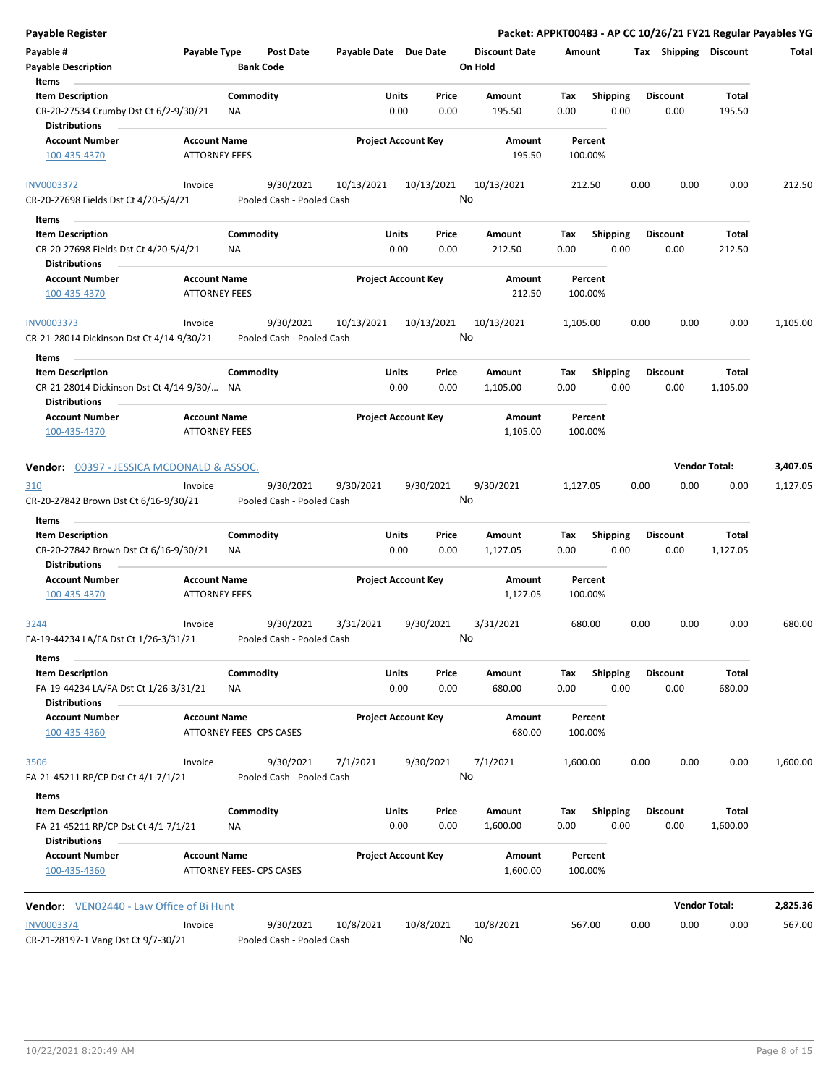| <b>Payable Register</b>                                                                  |                                             |                          |                                        |                       |                            |                  |                                 |                    |                         |      |                         |                      | Packet: APPKT00483 - AP CC 10/26/21 FY21 Regular Payables YG |
|------------------------------------------------------------------------------------------|---------------------------------------------|--------------------------|----------------------------------------|-----------------------|----------------------------|------------------|---------------------------------|--------------------|-------------------------|------|-------------------------|----------------------|--------------------------------------------------------------|
| Payable #<br><b>Payable Description</b>                                                  | Payable Type                                | <b>Bank Code</b>         | <b>Post Date</b>                       | Payable Date Due Date |                            |                  | <b>Discount Date</b><br>On Hold | Amount             |                         |      | Tax Shipping Discount   |                      | Total                                                        |
| Items<br><b>Item Description</b>                                                         |                                             | Commodity                |                                        |                       | Units                      | Price            | Amount                          | Tax                | <b>Shipping</b>         |      | <b>Discount</b>         | Total                |                                                              |
| CR-20-27534 Crumby Dst Ct 6/2-9/30/21<br><b>Distributions</b>                            |                                             | NA                       |                                        |                       | 0.00                       | 0.00             | 195.50                          | 0.00               | 0.00                    |      | 0.00                    | 195.50               |                                                              |
| <b>Account Number</b><br>100-435-4370                                                    | <b>Account Name</b><br><b>ATTORNEY FEES</b> |                          |                                        |                       | <b>Project Account Key</b> |                  | Amount<br>195.50                | Percent<br>100.00% |                         |      |                         |                      |                                                              |
| <b>INV0003372</b><br>CR-20-27698 Fields Dst Ct 4/20-5/4/21                               | Invoice                                     |                          | 9/30/2021<br>Pooled Cash - Pooled Cash | 10/13/2021            |                            | 10/13/2021       | 10/13/2021<br>No                | 212.50             |                         | 0.00 | 0.00                    | 0.00                 | 212.50                                                       |
| Items                                                                                    |                                             |                          |                                        |                       |                            |                  |                                 |                    |                         |      |                         |                      |                                                              |
| <b>Item Description</b><br>CR-20-27698 Fields Dst Ct 4/20-5/4/21<br><b>Distributions</b> |                                             | Commodity<br><b>NA</b>   |                                        |                       | Units<br>0.00              | Price<br>0.00    | Amount<br>212.50                | Tax<br>0.00        | <b>Shipping</b><br>0.00 |      | <b>Discount</b><br>0.00 | Total<br>212.50      |                                                              |
| <b>Account Number</b><br>100-435-4370                                                    | <b>Account Name</b><br><b>ATTORNEY FEES</b> |                          |                                        |                       | <b>Project Account Key</b> |                  | Amount<br>212.50                | Percent<br>100.00% |                         |      |                         |                      |                                                              |
| <b>INV0003373</b><br>CR-21-28014 Dickinson Dst Ct 4/14-9/30/21                           | Invoice                                     |                          | 9/30/2021<br>Pooled Cash - Pooled Cash | 10/13/2021            |                            | 10/13/2021<br>No | 10/13/2021                      | 1,105.00           |                         | 0.00 | 0.00                    | 0.00                 | 1,105.00                                                     |
| Items                                                                                    |                                             |                          |                                        |                       |                            |                  |                                 |                    |                         |      |                         |                      |                                                              |
| <b>Item Description</b><br>CR-21-28014 Dickinson Dst Ct 4/14-9/30/ NA                    |                                             | Commodity                |                                        |                       | Units<br>0.00              | Price<br>0.00    | <b>Amount</b><br>1,105.00       | Tax<br>0.00        | <b>Shipping</b><br>0.00 |      | <b>Discount</b><br>0.00 | Total<br>1,105.00    |                                                              |
| <b>Distributions</b><br><b>Account Number</b><br>100-435-4370                            | <b>Account Name</b><br><b>ATTORNEY FEES</b> |                          |                                        |                       | <b>Project Account Key</b> |                  | Amount<br>1,105.00              | Percent<br>100.00% |                         |      |                         |                      |                                                              |
|                                                                                          |                                             |                          |                                        |                       |                            |                  |                                 |                    |                         |      |                         |                      |                                                              |
| <b>Vendor: 00397 - JESSICA MCDONALD &amp; ASSOC.</b>                                     |                                             |                          |                                        |                       |                            |                  |                                 |                    |                         |      | <b>Vendor Total:</b>    |                      | 3,407.05                                                     |
| 310<br>CR-20-27842 Brown Dst Ct 6/16-9/30/21                                             | Invoice                                     |                          | 9/30/2021<br>Pooled Cash - Pooled Cash | 9/30/2021             |                            | 9/30/2021        | 9/30/2021<br>No                 | 1,127.05           |                         | 0.00 | 0.00                    | 0.00                 | 1,127.05                                                     |
| Items<br><b>Item Description</b>                                                         |                                             | Commodity                |                                        |                       | Units                      | Price            | Amount                          | Tax                | <b>Shipping</b>         |      | <b>Discount</b>         | Total                |                                                              |
| CR-20-27842 Brown Dst Ct 6/16-9/30/21<br><b>Distributions</b>                            |                                             | ΝA                       |                                        |                       | 0.00                       | 0.00             | 1,127.05                        | 0.00               | 0.00                    |      | 0.00                    | 1,127.05             |                                                              |
| <b>Account Number</b>                                                                    | <b>Account Name</b>                         |                          |                                        |                       | <b>Project Account Key</b> |                  | Amount                          | Percent            |                         |      |                         |                      |                                                              |
| 100-435-4370                                                                             | <b>ATTORNEY FEES</b>                        |                          |                                        |                       |                            |                  | 1,127.05                        | 100.00%            |                         |      |                         |                      |                                                              |
| 3244<br>FA-19-44234 LA/FA Dst Ct 1/26-3/31/21                                            | Invoice                                     |                          | 9/30/2021<br>Pooled Cash - Pooled Cash | 3/31/2021             |                            | 9/30/2021        | 3/31/2021<br>No                 | 680.00             |                         | 0.00 | 0.00                    | 0.00                 | 680.00                                                       |
| Items                                                                                    |                                             |                          |                                        |                       |                            |                  |                                 |                    |                         |      |                         |                      |                                                              |
| <b>Item Description</b><br>FA-19-44234 LA/FA Dst Ct 1/26-3/31/21<br><b>Distributions</b> |                                             | Commodity<br>ΝA          |                                        |                       | Units<br>0.00              | Price<br>0.00    | Amount<br>680.00                | Tax<br>0.00        | Shipping<br>0.00        |      | <b>Discount</b><br>0.00 | Total<br>680.00      |                                                              |
| <b>Account Number</b><br>100-435-4360                                                    | <b>Account Name</b>                         | ATTORNEY FEES- CPS CASES |                                        |                       | <b>Project Account Key</b> |                  | Amount<br>680.00                | Percent<br>100.00% |                         |      |                         |                      |                                                              |
| 3506                                                                                     | Invoice                                     |                          | 9/30/2021                              | 7/1/2021              |                            | 9/30/2021        | 7/1/2021                        | 1,600.00           |                         | 0.00 | 0.00                    | 0.00                 | 1,600.00                                                     |
| FA-21-45211 RP/CP Dst Ct 4/1-7/1/21                                                      |                                             |                          | Pooled Cash - Pooled Cash              |                       |                            | No               |                                 |                    |                         |      |                         |                      |                                                              |
| Items                                                                                    |                                             |                          |                                        |                       |                            |                  |                                 |                    |                         |      |                         |                      |                                                              |
| <b>Item Description</b><br>FA-21-45211 RP/CP Dst Ct 4/1-7/1/21<br><b>Distributions</b>   |                                             | Commodity<br>NA          |                                        |                       | Units<br>0.00              | Price<br>0.00    | Amount<br>1,600.00              | Tax<br>0.00        | Shipping<br>0.00        |      | <b>Discount</b><br>0.00 | Total<br>1,600.00    |                                                              |
| <b>Account Number</b><br>100-435-4360                                                    | <b>Account Name</b>                         | ATTORNEY FEES- CPS CASES |                                        |                       | <b>Project Account Key</b> |                  | Amount<br>1,600.00              | Percent<br>100.00% |                         |      |                         |                      |                                                              |
| <b>Vendor:</b> VEN02440 - Law Office of Bi Hunt                                          |                                             |                          |                                        |                       |                            |                  |                                 |                    |                         |      |                         | <b>Vendor Total:</b> | 2,825.36                                                     |
| <b>INV0003374</b><br>CR-21-28197-1 Vang Dst Ct 9/7-30/21                                 | Invoice                                     |                          | 9/30/2021<br>Pooled Cash - Pooled Cash | 10/8/2021             |                            | 10/8/2021<br>No  | 10/8/2021                       | 567.00             |                         | 0.00 | 0.00                    | 0.00                 | 567.00                                                       |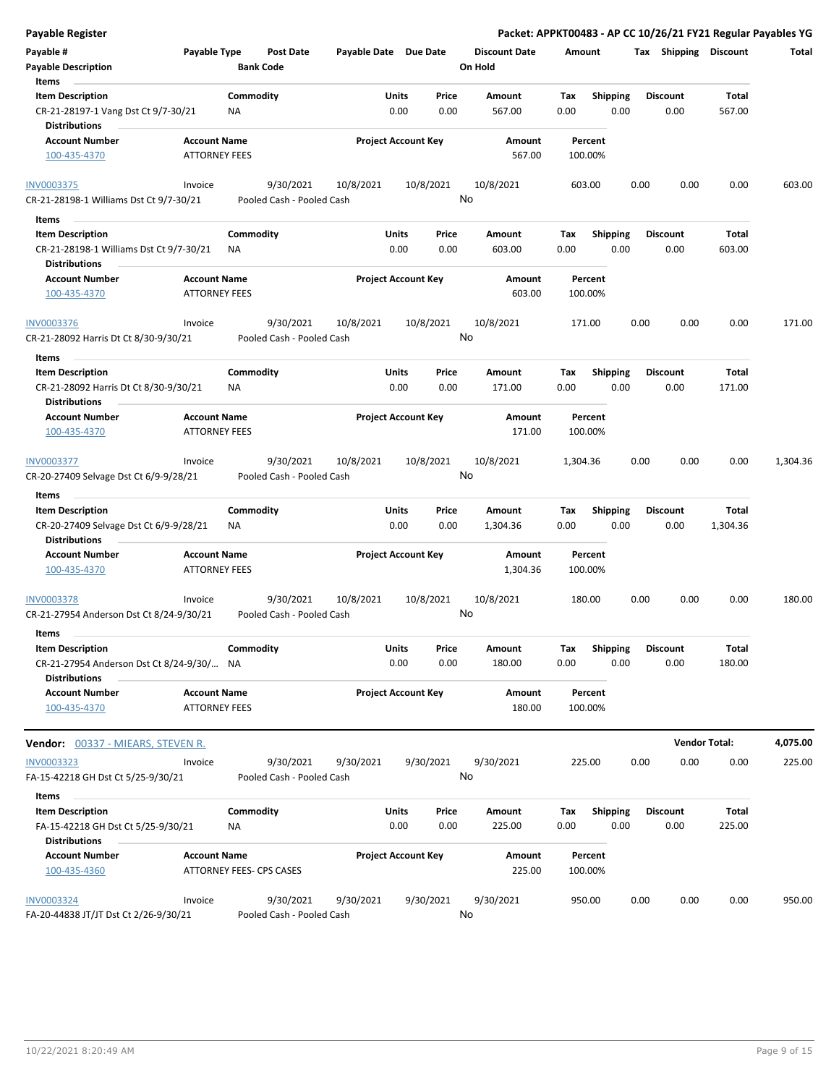| Payable Register                                                                       |                                             |                                        |                       |                            |               |                                 | Packet: APPKT00483 - AP CC 10/26/21 FY21 Regular Payables YG |                         |      |                         |                 |          |
|----------------------------------------------------------------------------------------|---------------------------------------------|----------------------------------------|-----------------------|----------------------------|---------------|---------------------------------|--------------------------------------------------------------|-------------------------|------|-------------------------|-----------------|----------|
| Payable #<br><b>Payable Description</b>                                                | Payable Type                                | <b>Post Date</b><br><b>Bank Code</b>   | Payable Date Due Date |                            |               | <b>Discount Date</b><br>On Hold | Amount                                                       |                         |      | Tax Shipping Discount   |                 | Total    |
| Items                                                                                  |                                             |                                        |                       |                            |               |                                 |                                                              |                         |      |                         |                 |          |
| <b>Item Description</b><br>CR-21-28197-1 Vang Dst Ct 9/7-30/21<br><b>Distributions</b> |                                             | Commodity<br>ΝA                        |                       | Units<br>0.00              | Price<br>0.00 | Amount<br>567.00                | Tax<br>0.00                                                  | <b>Shipping</b><br>0.00 |      | <b>Discount</b><br>0.00 | Total<br>567.00 |          |
| <b>Account Number</b>                                                                  | <b>Account Name</b>                         |                                        |                       | <b>Project Account Key</b> |               | Amount                          | Percent                                                      |                         |      |                         |                 |          |
| 100-435-4370                                                                           | <b>ATTORNEY FEES</b>                        |                                        |                       |                            |               | 567.00                          | 100.00%                                                      |                         |      |                         |                 |          |
| <b>INV0003375</b>                                                                      | Invoice                                     | 9/30/2021                              | 10/8/2021             |                            | 10/8/2021     | 10/8/2021                       | 603.00                                                       |                         | 0.00 | 0.00                    | 0.00            | 603.00   |
| CR-21-28198-1 Williams Dst Ct 9/7-30/21                                                |                                             | Pooled Cash - Pooled Cash              |                       |                            |               | No                              |                                                              |                         |      |                         |                 |          |
| Items                                                                                  |                                             |                                        |                       |                            |               |                                 |                                                              |                         |      |                         |                 |          |
| <b>Item Description</b>                                                                |                                             | Commodity                              |                       | Units                      | Price         | Amount                          | Tax                                                          | <b>Shipping</b>         |      | <b>Discount</b>         | Total           |          |
| CR-21-28198-1 Williams Dst Ct 9/7-30/21                                                |                                             | NA                                     |                       | 0.00                       | 0.00          | 603.00                          | 0.00                                                         | 0.00                    |      | 0.00                    | 603.00          |          |
| <b>Distributions</b>                                                                   |                                             |                                        |                       |                            |               |                                 |                                                              |                         |      |                         |                 |          |
| <b>Account Number</b><br>100-435-4370                                                  | <b>Account Name</b><br><b>ATTORNEY FEES</b> |                                        |                       | <b>Project Account Key</b> |               | Amount<br>603.00                | Percent<br>100.00%                                           |                         |      |                         |                 |          |
|                                                                                        |                                             |                                        | 10/8/2021             |                            |               |                                 |                                                              |                         |      |                         | 0.00            |          |
| <b>INV0003376</b><br>CR-21-28092 Harris Dt Ct 8/30-9/30/21                             | Invoice                                     | 9/30/2021<br>Pooled Cash - Pooled Cash |                       |                            | 10/8/2021     | 10/8/2021<br>No                 | 171.00                                                       |                         | 0.00 | 0.00                    |                 | 171.00   |
| Items                                                                                  |                                             |                                        |                       |                            |               |                                 |                                                              |                         |      |                         |                 |          |
| <b>Item Description</b>                                                                |                                             | Commodity                              |                       | Units                      | Price         | Amount                          | Tax                                                          | Shipping                |      | <b>Discount</b>         | <b>Total</b>    |          |
| CR-21-28092 Harris Dt Ct 8/30-9/30/21                                                  |                                             | ΝA                                     |                       | 0.00                       | 0.00          | 171.00                          | 0.00                                                         | 0.00                    |      | 0.00                    | 171.00          |          |
| <b>Distributions</b>                                                                   |                                             |                                        |                       |                            |               |                                 |                                                              |                         |      |                         |                 |          |
| <b>Account Number</b>                                                                  | <b>Account Name</b>                         |                                        |                       | <b>Project Account Key</b> |               | Amount                          | Percent                                                      |                         |      |                         |                 |          |
| 100-435-4370                                                                           | <b>ATTORNEY FEES</b>                        |                                        |                       |                            |               | 171.00                          | 100.00%                                                      |                         |      |                         |                 |          |
| INV0003377                                                                             | Invoice                                     | 9/30/2021                              | 10/8/2021             |                            | 10/8/2021     | 10/8/2021                       | 1,304.36                                                     |                         | 0.00 | 0.00                    | 0.00            | 1,304.36 |
| CR-20-27409 Selvage Dst Ct 6/9-9/28/21                                                 |                                             | Pooled Cash - Pooled Cash              |                       |                            |               | No                              |                                                              |                         |      |                         |                 |          |
| Items                                                                                  |                                             |                                        |                       |                            |               |                                 |                                                              |                         |      |                         |                 |          |
| <b>Item Description</b>                                                                |                                             | Commodity                              |                       | Units                      | Price         | Amount                          | Tax                                                          | <b>Shipping</b>         |      | <b>Discount</b>         | Total           |          |
| CR-20-27409 Selvage Dst Ct 6/9-9/28/21<br><b>Distributions</b>                         |                                             | ΝA                                     |                       | 0.00                       | 0.00          | 1,304.36                        | 0.00                                                         | 0.00                    |      | 0.00                    | 1,304.36        |          |
| <b>Account Number</b>                                                                  | <b>Account Name</b>                         |                                        |                       | <b>Project Account Key</b> |               | Amount                          | Percent                                                      |                         |      |                         |                 |          |
| 100-435-4370                                                                           | <b>ATTORNEY FEES</b>                        |                                        |                       |                            |               | 1,304.36                        | 100.00%                                                      |                         |      |                         |                 |          |
| INV0003378<br>CR-21-27954 Anderson Dst Ct 8/24-9/30/21                                 | Invoice                                     | 9/30/2021<br>Pooled Cash - Pooled Cash | 10/8/2021             |                            | 10/8/2021     | 10/8/2021<br>No                 | 180.00                                                       |                         | 0.00 | 0.00                    | 0.00            | 180.00   |
|                                                                                        |                                             |                                        |                       |                            |               |                                 |                                                              |                         |      |                         |                 |          |
| Items                                                                                  |                                             |                                        |                       |                            |               |                                 |                                                              |                         |      |                         |                 |          |
| <b>Item Description</b><br>CR-21-27954 Anderson Dst Ct 8/24-9/30/                      |                                             | Commodity<br>NA                        |                       | Units<br>0.00              | Price<br>0.00 | Amount<br>180.00                | Tax<br>0.00                                                  | Shipping<br>0.00        |      | <b>Discount</b><br>0.00 | Total<br>180.00 |          |
| <b>Distributions</b>                                                                   |                                             |                                        |                       |                            |               |                                 |                                                              |                         |      |                         |                 |          |
| <b>Account Number</b><br>100-435-4370                                                  | <b>Account Name</b><br><b>ATTORNEY FEES</b> |                                        |                       | <b>Project Account Key</b> |               | Amount<br>180.00                | Percent<br>100.00%                                           |                         |      |                         |                 |          |
| <b>Vendor:</b> 00337 - MIEARS, STEVEN R.                                               |                                             |                                        |                       |                            |               |                                 |                                                              |                         |      | <b>Vendor Total:</b>    |                 | 4,075.00 |
| INV0003323                                                                             | Invoice                                     | 9/30/2021                              | 9/30/2021             |                            | 9/30/2021     | 9/30/2021                       | 225.00                                                       |                         | 0.00 | 0.00                    | 0.00            | 225.00   |
| FA-15-42218 GH Dst Ct 5/25-9/30/21                                                     |                                             | Pooled Cash - Pooled Cash              |                       |                            |               | No                              |                                                              |                         |      |                         |                 |          |
| Items                                                                                  |                                             |                                        |                       |                            |               |                                 |                                                              |                         |      |                         |                 |          |
| <b>Item Description</b>                                                                |                                             | Commodity                              |                       | Units                      | Price         | Amount                          | Tax                                                          | <b>Shipping</b>         |      | <b>Discount</b>         | Total           |          |
| FA-15-42218 GH Dst Ct 5/25-9/30/21                                                     |                                             | ΝA                                     |                       | 0.00                       | 0.00          | 225.00                          | 0.00                                                         | 0.00                    |      | 0.00                    | 225.00          |          |
| <b>Distributions</b>                                                                   |                                             |                                        |                       |                            |               |                                 |                                                              |                         |      |                         |                 |          |
| <b>Account Number</b><br>100-435-4360                                                  | <b>Account Name</b>                         | ATTORNEY FEES- CPS CASES               |                       | <b>Project Account Key</b> |               | Amount<br>225.00                | Percent<br>100.00%                                           |                         |      |                         |                 |          |
| <b>INV0003324</b><br>FA-20-44838 JT/JT Dst Ct 2/26-9/30/21                             | Invoice                                     | 9/30/2021<br>Pooled Cash - Pooled Cash | 9/30/2021             |                            | 9/30/2021     | 9/30/2021<br>No                 | 950.00                                                       |                         | 0.00 | 0.00                    | 0.00            | 950.00   |
|                                                                                        |                                             |                                        |                       |                            |               |                                 |                                                              |                         |      |                         |                 |          |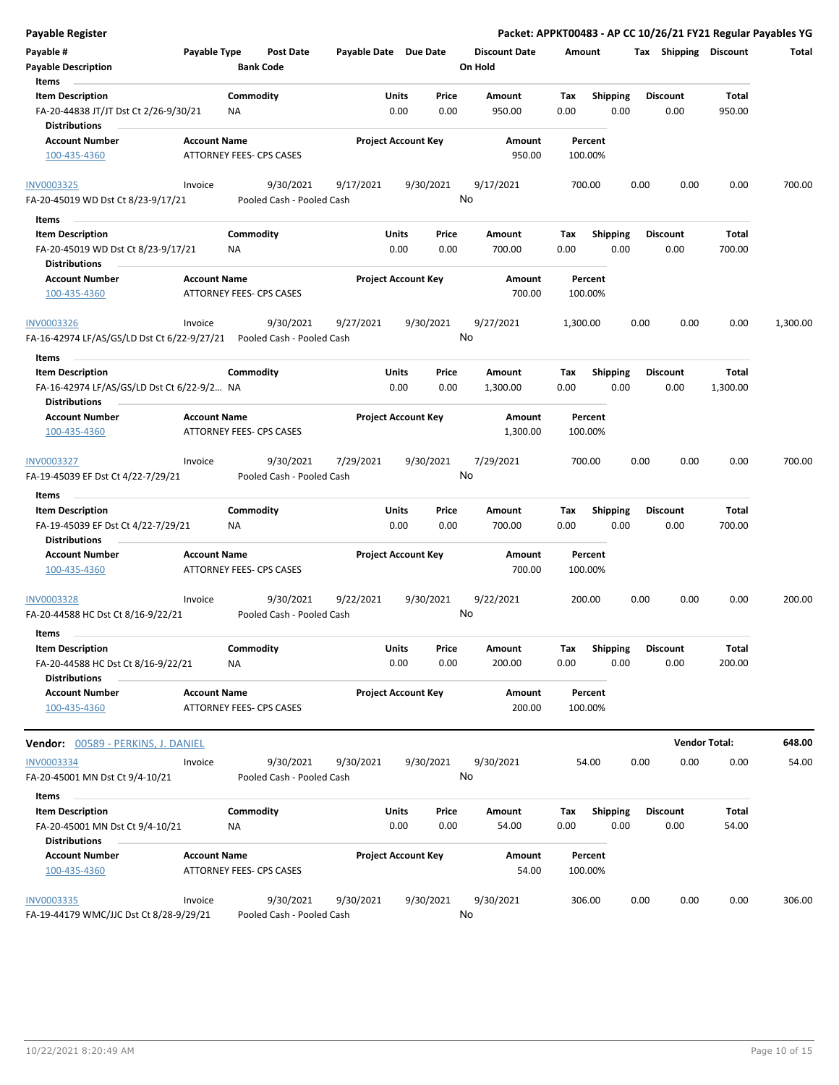| <b>Payable Register</b>                                                                           |                     |                                 |                                        |                       |                            |               |                                 |                    |                         |      |                         | Packet: APPKT00483 - AP CC 10/26/21 FY21 Regular Payables YG |          |
|---------------------------------------------------------------------------------------------------|---------------------|---------------------------------|----------------------------------------|-----------------------|----------------------------|---------------|---------------------------------|--------------------|-------------------------|------|-------------------------|--------------------------------------------------------------|----------|
| Payable #<br><b>Payable Description</b>                                                           | Payable Type        | <b>Bank Code</b>                | <b>Post Date</b>                       | Payable Date Due Date |                            |               | <b>Discount Date</b><br>On Hold | Amount             |                         |      | Tax Shipping Discount   |                                                              | Total    |
| Items<br><b>Item Description</b><br>FA-20-44838 JT/JT Dst Ct 2/26-9/30/21<br><b>Distributions</b> |                     | Commodity<br>NA                 |                                        |                       | Units<br>0.00              | Price<br>0.00 | <b>Amount</b><br>950.00         | Tax<br>0.00        | Shipping<br>0.00        |      | <b>Discount</b><br>0.00 | Total<br>950.00                                              |          |
| <b>Account Number</b><br>100-435-4360                                                             | <b>Account Name</b> | <b>ATTORNEY FEES- CPS CASES</b> |                                        |                       | <b>Project Account Key</b> |               | Amount<br>950.00                | Percent<br>100.00% |                         |      |                         |                                                              |          |
| INV0003325<br>FA-20-45019 WD Dst Ct 8/23-9/17/21                                                  | Invoice             |                                 | 9/30/2021<br>Pooled Cash - Pooled Cash | 9/17/2021             |                            | 9/30/2021     | 9/17/2021<br>No                 | 700.00             |                         | 0.00 | 0.00                    | 0.00                                                         | 700.00   |
| Items                                                                                             |                     |                                 |                                        |                       |                            |               |                                 |                    |                         |      |                         |                                                              |          |
| <b>Item Description</b><br>FA-20-45019 WD Dst Ct 8/23-9/17/21<br><b>Distributions</b>             |                     | Commodity<br>ΝA                 |                                        |                       | Units<br>0.00              | Price<br>0.00 | Amount<br>700.00                | Tax<br>0.00        | <b>Shipping</b><br>0.00 |      | <b>Discount</b><br>0.00 | <b>Total</b><br>700.00                                       |          |
| <b>Account Number</b><br>100-435-4360                                                             | <b>Account Name</b> | ATTORNEY FEES- CPS CASES        |                                        |                       | <b>Project Account Key</b> |               | Amount<br>700.00                | Percent<br>100.00% |                         |      |                         |                                                              |          |
| <b>INV0003326</b><br>FA-16-42974 LF/AS/GS/LD Dst Ct 6/22-9/27/21                                  | Invoice             |                                 | 9/30/2021<br>Pooled Cash - Pooled Cash | 9/27/2021             |                            | 9/30/2021     | 9/27/2021<br>No                 | 1,300.00           |                         | 0.00 | 0.00                    | 0.00                                                         | 1,300.00 |
| Items                                                                                             |                     |                                 |                                        |                       |                            |               |                                 |                    |                         |      |                         |                                                              |          |
| <b>Item Description</b><br>FA-16-42974 LF/AS/GS/LD Dst Ct 6/22-9/2 NA<br><b>Distributions</b>     |                     | Commodity                       |                                        |                       | Units<br>0.00              | Price<br>0.00 | Amount<br>1,300.00              | Tax<br>0.00        | <b>Shipping</b><br>0.00 |      | <b>Discount</b><br>0.00 | Total<br>1,300.00                                            |          |
| <b>Account Number</b><br>100-435-4360                                                             | <b>Account Name</b> | ATTORNEY FEES- CPS CASES        |                                        |                       | <b>Project Account Key</b> |               | Amount<br>1,300.00              | Percent<br>100.00% |                         |      |                         |                                                              |          |
| INV0003327<br>FA-19-45039 EF Dst Ct 4/22-7/29/21                                                  | Invoice             |                                 | 9/30/2021<br>Pooled Cash - Pooled Cash | 7/29/2021             |                            | 9/30/2021     | 7/29/2021<br>No                 | 700.00             |                         | 0.00 | 0.00                    | 0.00                                                         | 700.00   |
| Items                                                                                             |                     |                                 |                                        |                       |                            |               |                                 |                    |                         |      |                         |                                                              |          |
| <b>Item Description</b><br>FA-19-45039 EF Dst Ct 4/22-7/29/21                                     |                     | Commodity<br>ΝA                 |                                        |                       | Units<br>0.00              | Price<br>0.00 | Amount<br>700.00                | Tax<br>0.00        | Shipping<br>0.00        |      | <b>Discount</b><br>0.00 | Total<br>700.00                                              |          |
| <b>Distributions</b>                                                                              |                     |                                 |                                        |                       |                            |               |                                 |                    |                         |      |                         |                                                              |          |
| <b>Account Number</b><br>100-435-4360                                                             | <b>Account Name</b> | <b>ATTORNEY FEES- CPS CASES</b> |                                        |                       | <b>Project Account Key</b> |               | Amount<br>700.00                | Percent<br>100.00% |                         |      |                         |                                                              |          |
| INV0003328<br>FA-20-44588 HC Dst Ct 8/16-9/22/21                                                  | Invoice             |                                 | 9/30/2021<br>Pooled Cash - Pooled Cash | 9/22/2021             |                            | 9/30/2021     | 9/22/2021<br>No                 | 200.00             |                         | 0.00 | 0.00                    | 0.00                                                         | 200.00   |
| Items<br><b>Item Description</b><br>FA-20-44588 HC Dst Ct 8/16-9/22/21                            |                     | Commodity<br>ΝA                 |                                        |                       | <b>Units</b><br>0.00       | Price<br>0.00 | Amount<br>200.00                | Tax<br>0.00        | <b>Shipping</b><br>0.00 |      | <b>Discount</b><br>0.00 | Total<br>200.00                                              |          |
| <b>Distributions</b>                                                                              |                     |                                 |                                        |                       |                            |               |                                 |                    |                         |      |                         |                                                              |          |
| <b>Account Number</b><br>100-435-4360                                                             | <b>Account Name</b> | ATTORNEY FEES- CPS CASES        |                                        |                       | <b>Project Account Key</b> |               | Amount<br>200.00                | Percent<br>100.00% |                         |      |                         |                                                              |          |
| <b>Vendor: 00589 - PERKINS, J. DANIEL</b>                                                         |                     |                                 |                                        |                       |                            |               |                                 |                    |                         |      |                         | <b>Vendor Total:</b>                                         | 648.00   |
| <b>INV0003334</b>                                                                                 | Invoice             |                                 | 9/30/2021                              | 9/30/2021             |                            | 9/30/2021     | 9/30/2021                       | 54.00              |                         | 0.00 | 0.00                    | 0.00                                                         | 54.00    |
| FA-20-45001 MN Dst Ct 9/4-10/21                                                                   |                     |                                 | Pooled Cash - Pooled Cash              |                       |                            |               | No                              |                    |                         |      |                         |                                                              |          |
| Items                                                                                             |                     |                                 |                                        |                       |                            |               |                                 |                    |                         |      |                         |                                                              |          |
| <b>Item Description</b><br>FA-20-45001 MN Dst Ct 9/4-10/21                                        |                     | Commodity<br>NA                 |                                        |                       | <b>Units</b><br>0.00       | Price<br>0.00 | Amount<br>54.00                 | Tax<br>0.00        | Shipping<br>0.00        |      | <b>Discount</b><br>0.00 | Total<br>54.00                                               |          |
| <b>Distributions</b>                                                                              |                     |                                 |                                        |                       |                            |               |                                 |                    |                         |      |                         |                                                              |          |
| <b>Account Number</b><br>100-435-4360                                                             | <b>Account Name</b> | ATTORNEY FEES- CPS CASES        |                                        |                       | <b>Project Account Key</b> |               | Amount<br>54.00                 | Percent<br>100.00% |                         |      |                         |                                                              |          |
| <b>INV0003335</b><br>FA-19-44179 WMC/JJC Dst Ct 8/28-9/29/21                                      | Invoice             |                                 | 9/30/2021<br>Pooled Cash - Pooled Cash | 9/30/2021             |                            | 9/30/2021     | 9/30/2021<br>No                 | 306.00             |                         | 0.00 | 0.00                    | 0.00                                                         | 306.00   |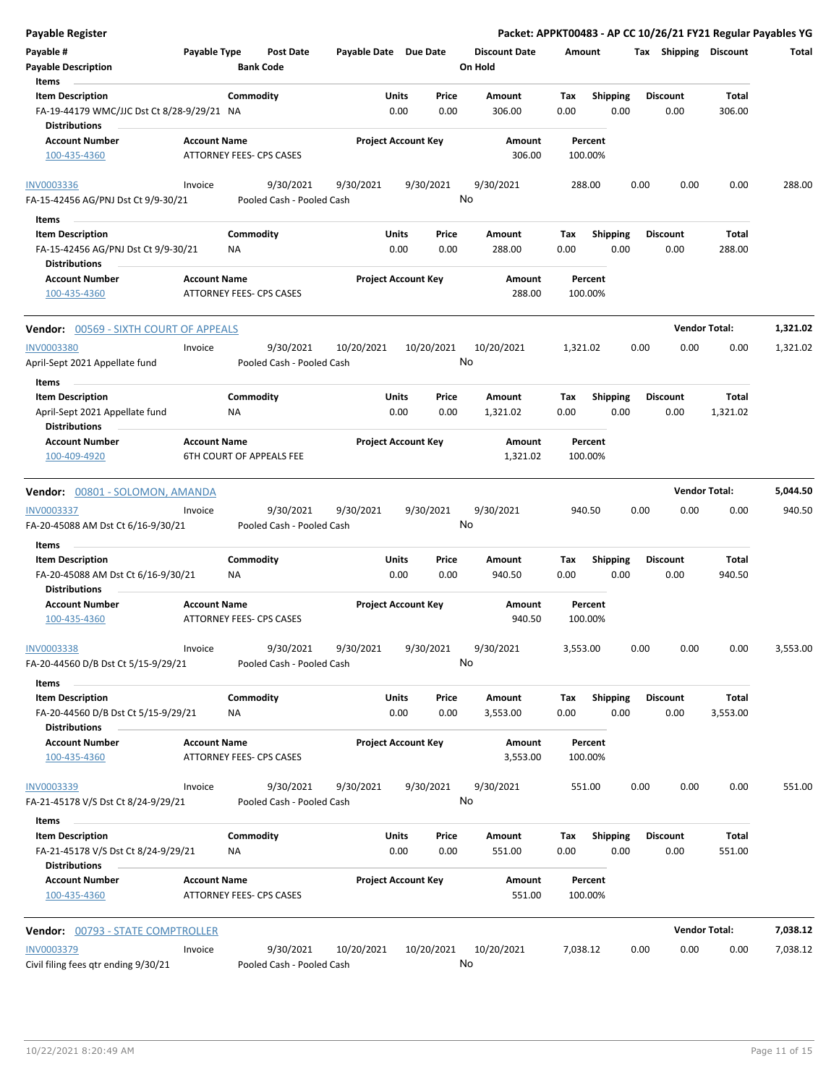| <b>Payable Register</b>                                                                       |                     |                                        |                       |                            |                                 | Packet: APPKT00483 - AP CC 10/26/21 FY21 Regular Payables YG |      |                         |                      |          |
|-----------------------------------------------------------------------------------------------|---------------------|----------------------------------------|-----------------------|----------------------------|---------------------------------|--------------------------------------------------------------|------|-------------------------|----------------------|----------|
| Payable #<br><b>Payable Description</b>                                                       | Payable Type        | <b>Post Date</b><br><b>Bank Code</b>   | Payable Date Due Date |                            | <b>Discount Date</b><br>On Hold | Amount                                                       |      | Tax Shipping Discount   |                      | Total    |
| Items                                                                                         |                     | Commodity                              | Units                 | Price                      | Amount                          | Tax                                                          |      | <b>Discount</b>         | <b>Total</b>         |          |
| <b>Item Description</b><br>FA-19-44179 WMC/JJC Dst Ct 8/28-9/29/21 NA<br><b>Distributions</b> |                     |                                        |                       | 0.00<br>0.00               | 306.00                          | <b>Shipping</b><br>0.00<br>0.00                              |      | 0.00                    | 306.00               |          |
| <b>Account Number</b><br>100-435-4360                                                         | <b>Account Name</b> | <b>ATTORNEY FEES- CPS CASES</b>        |                       | <b>Project Account Key</b> | Amount<br>306.00                | Percent<br>100.00%                                           |      |                         |                      |          |
|                                                                                               |                     |                                        |                       |                            |                                 |                                                              |      |                         |                      |          |
| <b>INV0003336</b><br>FA-15-42456 AG/PNJ Dst Ct 9/9-30/21                                      | Invoice             | 9/30/2021<br>Pooled Cash - Pooled Cash | 9/30/2021             | 9/30/2021                  | 9/30/2021<br>No                 | 288.00                                                       | 0.00 | 0.00                    | 0.00                 | 288.00   |
| Items                                                                                         |                     |                                        |                       |                            |                                 |                                                              |      |                         |                      |          |
| <b>Item Description</b>                                                                       |                     | Commodity                              | Units                 | Price                      | Amount                          | <b>Shipping</b><br>Tax                                       |      | <b>Discount</b>         | Total                |          |
| FA-15-42456 AG/PNJ Dst Ct 9/9-30/21<br><b>Distributions</b>                                   |                     | NA                                     |                       | 0.00<br>0.00               | 288.00                          | 0.00<br>0.00                                                 |      | 0.00                    | 288.00               |          |
| <b>Account Number</b><br>100-435-4360                                                         | <b>Account Name</b> | ATTORNEY FEES- CPS CASES               |                       | <b>Project Account Key</b> | Amount<br>288.00                | Percent<br>100.00%                                           |      |                         |                      |          |
| Vendor: 00569 - SIXTH COURT OF APPEALS                                                        |                     |                                        |                       |                            |                                 |                                                              |      |                         | <b>Vendor Total:</b> | 1,321.02 |
| <b>INV0003380</b>                                                                             | Invoice             | 9/30/2021                              | 10/20/2021            | 10/20/2021                 | 10/20/2021                      | 1,321.02                                                     | 0.00 | 0.00                    | 0.00                 | 1,321.02 |
| April-Sept 2021 Appellate fund                                                                |                     | Pooled Cash - Pooled Cash              |                       |                            | No                              |                                                              |      |                         |                      |          |
| Items                                                                                         |                     |                                        |                       |                            |                                 |                                                              |      |                         |                      |          |
| <b>Item Description</b>                                                                       |                     | Commodity                              | Units                 | Price                      | Amount                          | <b>Shipping</b><br>Tax                                       |      | <b>Discount</b>         | Total                |          |
| April-Sept 2021 Appellate fund                                                                |                     | NA                                     |                       | 0.00<br>0.00               | 1,321.02                        | 0.00<br>0.00                                                 |      | 0.00                    | 1,321.02             |          |
| <b>Distributions</b>                                                                          |                     |                                        |                       |                            |                                 |                                                              |      |                         |                      |          |
| <b>Account Number</b><br>100-409-4920                                                         | <b>Account Name</b> | <b>6TH COURT OF APPEALS FEE</b>        |                       | <b>Project Account Key</b> | Amount<br>1,321.02              | Percent<br>100.00%                                           |      |                         |                      |          |
| Vendor: 00801 - SOLOMON, AMANDA                                                               |                     |                                        |                       |                            |                                 |                                                              |      |                         | <b>Vendor Total:</b> | 5,044.50 |
| <b>INV0003337</b>                                                                             | Invoice             | 9/30/2021                              | 9/30/2021             | 9/30/2021                  | 9/30/2021                       | 940.50                                                       | 0.00 | 0.00                    | 0.00                 | 940.50   |
| FA-20-45088 AM Dst Ct 6/16-9/30/21                                                            |                     | Pooled Cash - Pooled Cash              |                       |                            | No                              |                                                              |      |                         |                      |          |
| Items<br><b>Item Description</b>                                                              |                     | Commodity                              | Units                 | Price                      | Amount                          | Shipping<br>Tax                                              |      | <b>Discount</b>         | Total                |          |
| FA-20-45088 AM Dst Ct 6/16-9/30/21<br><b>Distributions</b>                                    |                     | ΝA                                     |                       | 0.00<br>0.00               | 940.50                          | 0.00<br>0.00                                                 |      | 0.00                    | 940.50               |          |
| <b>Account Number</b>                                                                         | <b>Account Name</b> |                                        |                       | <b>Project Account Key</b> | Amount                          | Percent                                                      |      |                         |                      |          |
| 100-435-4360                                                                                  |                     | <b>ATTORNEY FEES- CPS CASES</b>        |                       |                            | 940.50                          | 100.00%                                                      |      |                         |                      |          |
| INV0003338                                                                                    | Invoice             | 9/30/2021                              | 9/30/2021             | 9/30/2021                  | 9/30/2021                       | 3,553.00                                                     | 0.00 | 0.00                    | 0.00                 | 3,553.00 |
| FA-20-44560 D/B Dst Ct 5/15-9/29/21                                                           |                     | Pooled Cash - Pooled Cash              |                       |                            | No                              |                                                              |      |                         |                      |          |
| Items                                                                                         |                     |                                        |                       |                            |                                 |                                                              |      |                         |                      |          |
| <b>Item Description</b><br>FA-20-44560 D/B Dst Ct 5/15-9/29/21                                |                     | Commodity<br>NA                        | <b>Units</b>          | Price<br>0.00<br>0.00      | Amount<br>3,553.00              | <b>Shipping</b><br>Tax<br>0.00<br>0.00                       |      | <b>Discount</b><br>0.00 | Total<br>3,553.00    |          |
| <b>Distributions</b><br><b>Account Number</b>                                                 |                     |                                        |                       |                            | Amount                          | Percent                                                      |      |                         |                      |          |
| 100-435-4360                                                                                  | <b>Account Name</b> | <b>ATTORNEY FEES- CPS CASES</b>        |                       | <b>Project Account Key</b> | 3,553.00                        | 100.00%                                                      |      |                         |                      |          |
| INV0003339                                                                                    | Invoice             | 9/30/2021<br>Pooled Cash - Pooled Cash | 9/30/2021             | 9/30/2021                  | 9/30/2021<br>No                 | 551.00                                                       | 0.00 | 0.00                    | 0.00                 | 551.00   |
| FA-21-45178 V/S Dst Ct 8/24-9/29/21                                                           |                     |                                        |                       |                            |                                 |                                                              |      |                         |                      |          |
| Items                                                                                         |                     |                                        |                       |                            |                                 |                                                              |      |                         |                      |          |
| <b>Item Description</b><br>FA-21-45178 V/S Dst Ct 8/24-9/29/21                                |                     | Commodity<br>NA                        | <b>Units</b>          | Price<br>0.00<br>0.00      | Amount<br>551.00                | <b>Shipping</b><br>Tax<br>0.00<br>0.00                       |      | <b>Discount</b><br>0.00 | Total<br>551.00      |          |
| <b>Distributions</b><br><b>Account Number</b>                                                 | <b>Account Name</b> |                                        |                       | <b>Project Account Key</b> | Amount                          | Percent                                                      |      |                         |                      |          |
| 100-435-4360                                                                                  |                     | ATTORNEY FEES- CPS CASES               |                       |                            | 551.00                          | 100.00%                                                      |      |                         |                      |          |
| Vendor: 00793 - STATE COMPTROLLER                                                             |                     |                                        |                       |                            |                                 |                                                              |      |                         | <b>Vendor Total:</b> | 7,038.12 |
| <b>INV0003379</b>                                                                             | Invoice             | 9/30/2021                              | 10/20/2021            | 10/20/2021                 | 10/20/2021                      | 7,038.12                                                     | 0.00 | 0.00                    | 0.00                 | 7,038.12 |
| Civil filing fees qtr ending 9/30/21                                                          |                     | Pooled Cash - Pooled Cash              |                       |                            | No                              |                                                              |      |                         |                      |          |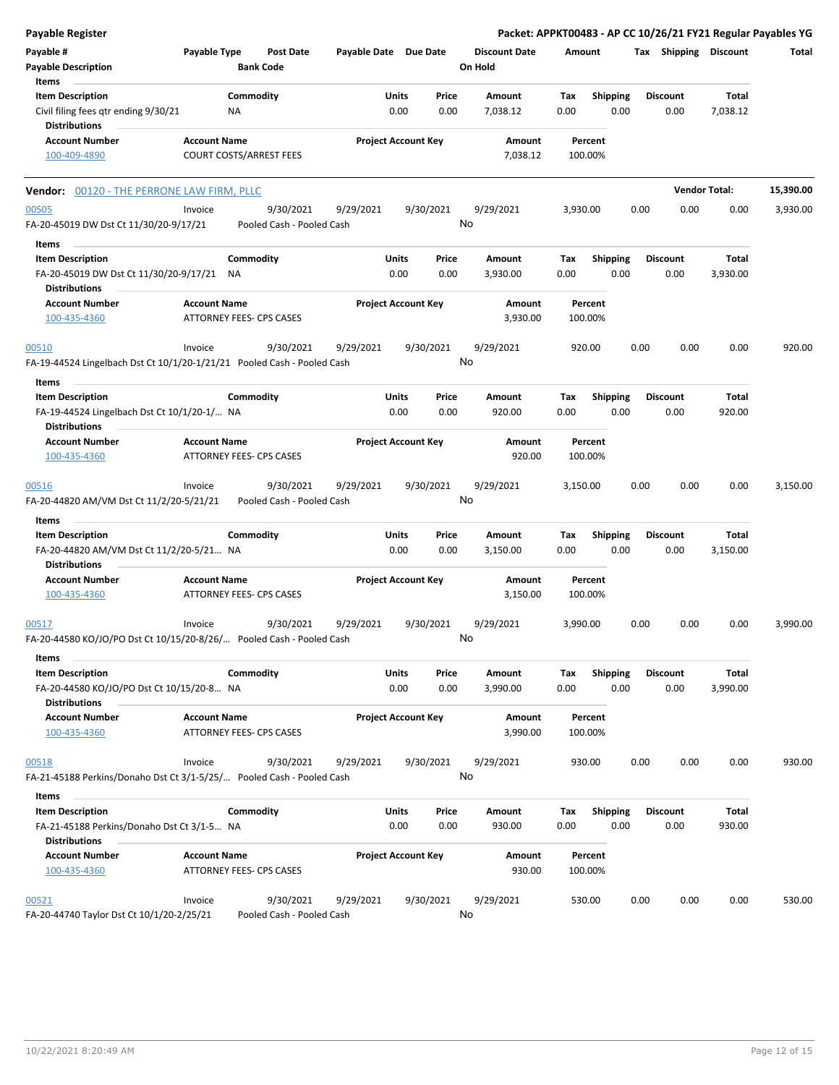| <b>Payable Register</b>                                                                      |                     |                                        |                       |                                |                                 |                    |                         |      |                         |                       | Packet: APPKT00483 - AP CC 10/26/21 FY21 Regular Payables YG |
|----------------------------------------------------------------------------------------------|---------------------|----------------------------------------|-----------------------|--------------------------------|---------------------------------|--------------------|-------------------------|------|-------------------------|-----------------------|--------------------------------------------------------------|
| Payable #<br><b>Payable Description</b>                                                      | Payable Type        | <b>Post Date</b><br><b>Bank Code</b>   | Payable Date Due Date |                                | <b>Discount Date</b><br>On Hold | Amount             |                         |      |                         | Tax Shipping Discount | Total                                                        |
| Items                                                                                        |                     |                                        |                       |                                |                                 |                    |                         |      |                         |                       |                                                              |
| <b>Item Description</b><br>Civil filing fees qtr ending 9/30/21<br><b>Distributions</b>      |                     | Commodity<br>NA                        |                       | Units<br>Price<br>0.00<br>0.00 | Amount<br>7,038.12              | Tax<br>0.00        | <b>Shipping</b><br>0.00 |      | <b>Discount</b><br>0.00 | Total<br>7,038.12     |                                                              |
| <b>Account Number</b><br>100-409-4890                                                        | <b>Account Name</b> | <b>COURT COSTS/ARREST FEES</b>         |                       | <b>Project Account Key</b>     | Amount<br>7,038.12              | Percent<br>100.00% |                         |      |                         |                       |                                                              |
| <b>Vendor: 00120 - THE PERRONE LAW FIRM, PLLC</b>                                            |                     |                                        |                       |                                |                                 |                    |                         |      |                         | <b>Vendor Total:</b>  | 15,390.00                                                    |
|                                                                                              |                     |                                        |                       |                                |                                 |                    |                         |      |                         |                       |                                                              |
| 00505<br>FA-20-45019 DW Dst Ct 11/30/20-9/17/21                                              | Invoice             | 9/30/2021<br>Pooled Cash - Pooled Cash | 9/29/2021             | 9/30/2021                      | 9/29/2021<br>No                 | 3,930.00           |                         | 0.00 | 0.00                    | 0.00                  | 3,930.00                                                     |
| Items                                                                                        |                     |                                        |                       |                                |                                 |                    |                         |      |                         |                       |                                                              |
| <b>Item Description</b><br>FA-20-45019 DW Dst Ct 11/30/20-9/17/21 NA<br><b>Distributions</b> |                     | Commodity                              |                       | Units<br>Price<br>0.00<br>0.00 | Amount<br>3,930.00              | Tax<br>0.00        | <b>Shipping</b><br>0.00 |      | <b>Discount</b><br>0.00 | Total<br>3,930.00     |                                                              |
| <b>Account Number</b>                                                                        | <b>Account Name</b> |                                        |                       | <b>Project Account Key</b>     | Amount                          | Percent            |                         |      |                         |                       |                                                              |
| 100-435-4360                                                                                 |                     | ATTORNEY FEES- CPS CASES               |                       |                                | 3,930.00                        | 100.00%            |                         |      |                         |                       |                                                              |
| 00510<br>FA-19-44524 Lingelbach Dst Ct 10/1/20-1/21/21 Pooled Cash - Pooled Cash             | Invoice             | 9/30/2021                              | 9/29/2021             | 9/30/2021                      | 9/29/2021<br>No                 | 920.00             |                         | 0.00 | 0.00                    | 0.00                  | 920.00                                                       |
| Items                                                                                        |                     |                                        |                       |                                |                                 |                    |                         |      |                         |                       |                                                              |
| <b>Item Description</b><br>FA-19-44524 Lingelbach Dst Ct 10/1/20-1/ NA                       |                     | Commodity                              |                       | Units<br>Price<br>0.00<br>0.00 | Amount<br>920.00                | Tax<br>0.00        | <b>Shipping</b><br>0.00 |      | <b>Discount</b><br>0.00 | Total<br>920.00       |                                                              |
| <b>Distributions</b><br><b>Account Number</b>                                                | <b>Account Name</b> |                                        |                       | <b>Project Account Key</b>     | Amount                          | Percent            |                         |      |                         |                       |                                                              |
| 100-435-4360                                                                                 |                     | ATTORNEY FEES- CPS CASES               |                       |                                | 920.00                          | 100.00%            |                         |      |                         |                       |                                                              |
| 00516                                                                                        | Invoice             | 9/30/2021                              | 9/29/2021             | 9/30/2021                      | 9/29/2021<br>No                 | 3,150.00           |                         | 0.00 | 0.00                    | 0.00                  | 3,150.00                                                     |
| FA-20-44820 AM/VM Dst Ct 11/2/20-5/21/21                                                     |                     | Pooled Cash - Pooled Cash              |                       |                                |                                 |                    |                         |      |                         |                       |                                                              |
| Items                                                                                        |                     |                                        |                       |                                |                                 |                    |                         |      |                         |                       |                                                              |
| <b>Item Description</b><br>FA-20-44820 AM/VM Dst Ct 11/2/20-5/21 NA<br>Distributions         |                     | Commodity                              |                       | Units<br>Price<br>0.00<br>0.00 | Amount<br>3,150.00              | Tax<br>0.00        | <b>Shipping</b><br>0.00 |      | <b>Discount</b><br>0.00 | Total<br>3,150.00     |                                                              |
| <b>Account Number</b><br>100-435-4360                                                        | <b>Account Name</b> | <b>ATTORNEY FEES- CPS CASES</b>        |                       | <b>Project Account Key</b>     | Amount<br>3,150.00              | Percent<br>100.00% |                         |      |                         |                       |                                                              |
| 00517<br>FA-20-44580 KO/JO/PO Dst Ct 10/15/20-8/26/ Pooled Cash - Pooled Cash                | Invoice             | 9/30/2021                              | 9/29/2021             | 9/30/2021                      | 9/29/2021<br>No                 | 3,990.00           |                         | 0.00 | 0.00                    | 0.00                  | 3,990.00                                                     |
| Items                                                                                        |                     |                                        |                       |                                |                                 |                    |                         |      |                         |                       |                                                              |
| <b>Item Description</b><br>FA-20-44580 KO/JO/PO Dst Ct 10/15/20-8 NA<br><b>Distributions</b> |                     | Commodity                              |                       | Units<br>Price<br>0.00<br>0.00 | Amount<br>3,990.00              | Tax<br>0.00        | <b>Shipping</b><br>0.00 |      | <b>Discount</b><br>0.00 | Total<br>3,990.00     |                                                              |
| <b>Account Number</b><br>100-435-4360                                                        | <b>Account Name</b> | ATTORNEY FEES- CPS CASES               |                       | <b>Project Account Key</b>     | Amount<br>3,990.00              | Percent<br>100.00% |                         |      |                         |                       |                                                              |
| 00518                                                                                        | Invoice             | 9/30/2021                              | 9/29/2021             | 9/30/2021                      | 9/29/2021                       | 930.00             |                         | 0.00 | 0.00                    | 0.00                  | 930.00                                                       |
| FA-21-45188 Perkins/Donaho Dst Ct 3/1-5/25/ Pooled Cash - Pooled Cash                        |                     |                                        |                       |                                | No                              |                    |                         |      |                         |                       |                                                              |
| Items                                                                                        |                     |                                        |                       |                                |                                 |                    |                         |      |                         |                       |                                                              |
| <b>Item Description</b><br>FA-21-45188 Perkins/Donaho Dst Ct 3/1-5 NA                        |                     | Commodity                              |                       | Units<br>Price<br>0.00<br>0.00 | Amount<br>930.00                | Tax<br>0.00        | <b>Shipping</b><br>0.00 |      | <b>Discount</b><br>0.00 | Total<br>930.00       |                                                              |
| <b>Distributions</b>                                                                         |                     |                                        |                       |                                |                                 |                    |                         |      |                         |                       |                                                              |
| <b>Account Number</b><br>100-435-4360                                                        | <b>Account Name</b> | ATTORNEY FEES- CPS CASES               |                       | <b>Project Account Key</b>     | Amount<br>930.00                | Percent<br>100.00% |                         |      |                         |                       |                                                              |
| 00521                                                                                        | Invoice             | 9/30/2021                              | 9/29/2021             | 9/30/2021                      | 9/29/2021                       | 530.00             |                         | 0.00 | 0.00                    | 0.00                  | 530.00                                                       |
| FA-20-44740 Taylor Dst Ct 10/1/20-2/25/21                                                    |                     | Pooled Cash - Pooled Cash              |                       |                                | No                              |                    |                         |      |                         |                       |                                                              |

FA-20-44740 Taylor Dst Ct 10/1/20-2/25/21 Pooled Cash - Pooled Cash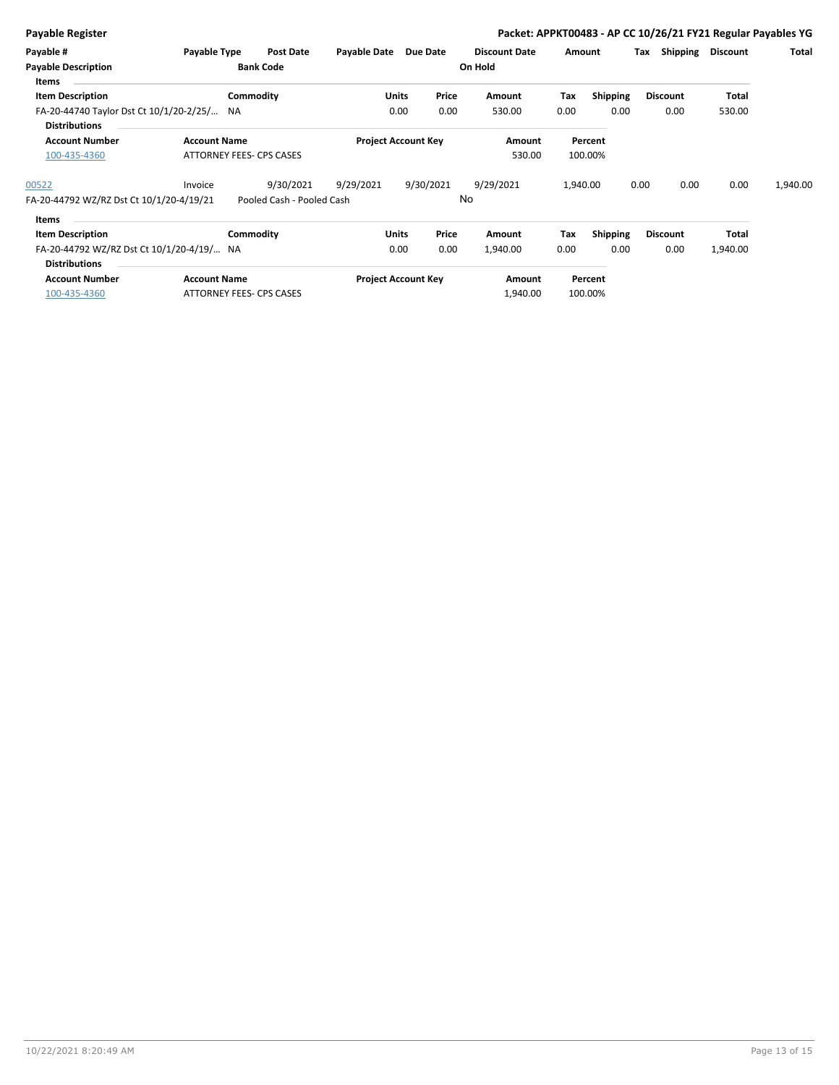| <b>Payable Register</b>                                                                                                        |                     |                                        |              |                                                              |                                 |             |                                    | Packet: APPKT00483 - AP CC 10/26/21 FY21 Regular Payables YG |                   |          |
|--------------------------------------------------------------------------------------------------------------------------------|---------------------|----------------------------------------|--------------|--------------------------------------------------------------|---------------------------------|-------------|------------------------------------|--------------------------------------------------------------|-------------------|----------|
| Payable #<br><b>Payable Description</b><br>Items                                                                               | Payable Type        | Post Date<br><b>Bank Code</b>          | Payable Date | Due Date                                                     | <b>Discount Date</b><br>On Hold | Amount      |                                    | Shipping<br>Tax                                              | Discount          | Total    |
| <b>Item Description</b><br>FA-20-44740 Taylor Dst Ct 10/1/20-2/25/ NA<br><b>Distributions</b>                                  |                     | Commodity                              |              | Price<br><b>Units</b><br>0.00<br>0.00                        | Amount<br>530.00                | Tax<br>0.00 | <b>Shipping</b><br>0.00            | <b>Discount</b><br>0.00                                      | Total<br>530.00   |          |
| <b>Account Number</b><br>100-435-4360                                                                                          | <b>Account Name</b> | ATTORNEY FEES- CPS CASES               |              | <b>Project Account Key</b>                                   | Amount<br>530.00                |             | Percent<br>100.00%                 |                                                              |                   |          |
| 00522<br>FA-20-44792 WZ/RZ Dst Ct 10/1/20-4/19/21                                                                              | Invoice             | 9/30/2021<br>Pooled Cash - Pooled Cash | 9/29/2021    | 9/30/2021                                                    | 9/29/2021<br>No                 | 1,940.00    |                                    | 0.00<br>0.00                                                 | 0.00              | 1,940.00 |
| Items<br><b>Item Description</b><br>FA-20-44792 WZ/RZ Dst Ct 10/1/20-4/19/ NA<br><b>Distributions</b><br><b>Account Number</b> | <b>Account Name</b> | Commodity                              |              | Price<br>Units<br>0.00<br>0.00<br><b>Project Account Key</b> | Amount<br>1,940.00<br>Amount    | Tax<br>0.00 | <b>Shipping</b><br>0.00<br>Percent | <b>Discount</b><br>0.00                                      | Total<br>1,940.00 |          |
| 100-435-4360                                                                                                                   |                     | ATTORNEY FEES- CPS CASES               |              |                                                              | 1,940.00                        |             | 100.00%                            |                                                              |                   |          |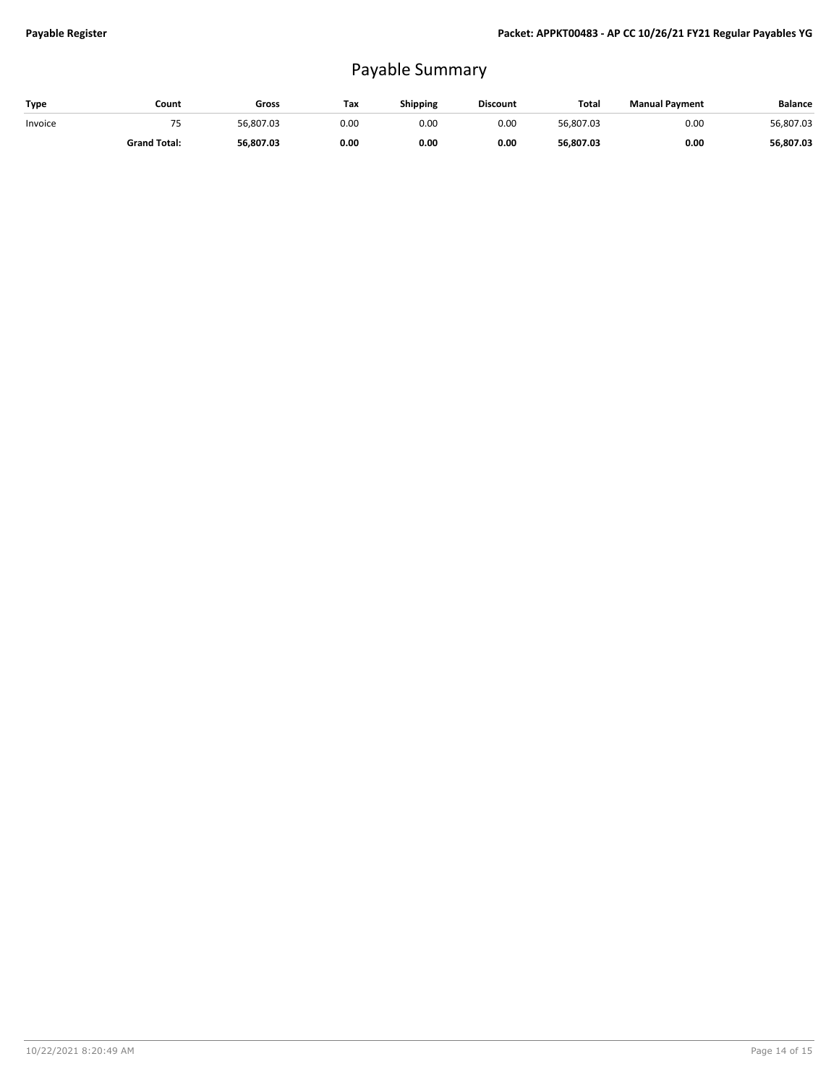## Payable Summary

| Type    | Count               | Gross     | Tax  | Shipping | <b>Discount</b> | Total     | <b>Manual Payment</b> | <b>Balance</b> |
|---------|---------------------|-----------|------|----------|-----------------|-----------|-----------------------|----------------|
| Invoice | -.                  | 56.807.03 | 0.00 | 0.00     | 0.00            | 56,807.03 | 0.00                  | 56,807.03      |
|         | <b>Grand Total:</b> | 56,807.03 | 0.00 | 0.00     | 0.00            | 56,807.03 | 0.00                  | 56,807.03      |